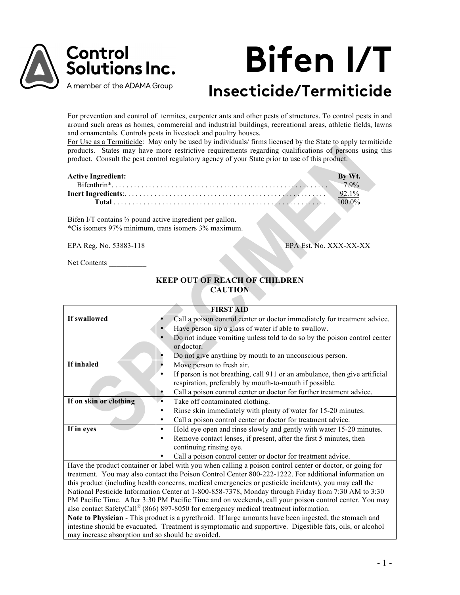

# **Bifen I/T Insecticide/Termiticide**

For prevention and control of termites, carpenter ants and other pests of structures. To control pests in and around such areas as homes, commercial and industrial buildings, recreational areas, athletic fields, lawns and ornamentals. Controls pests in livestock and poultry houses.

For Use as a Termiticide: May only be used by individuals/ firms licensed by the State to apply termiticide products. States may have more restrictive requirements regarding qualifications of persons using this product. Consult the pest control regulatory agency of your State prior to use of this product.

| <b>Active Ingredient:</b> |       |
|---------------------------|-------|
|                           | 7.9%  |
|                           |       |
|                           | 00.0% |

Bifen I/T contains ⅔ pound active ingredient per gallon. \*Cis isomers 97% minimum, trans isomers 3% maximum.

EPA Reg. No. 53883-118 EPA Est. No. XXX-XX-XX

Net Contents

# **KEEP OUT OF REACH OF CHILDREN CAUTION**

|                                                                                                           | <b>FIRST AID</b>                                                                                          |  |  |  |
|-----------------------------------------------------------------------------------------------------------|-----------------------------------------------------------------------------------------------------------|--|--|--|
| If swallowed                                                                                              | Call a poison control center or doctor immediately for treatment advice.                                  |  |  |  |
|                                                                                                           | Have person sip a glass of water if able to swallow.                                                      |  |  |  |
|                                                                                                           | Do not induce vomiting unless told to do so by the poison control center                                  |  |  |  |
|                                                                                                           | or doctor.                                                                                                |  |  |  |
|                                                                                                           | Do not give anything by mouth to an unconscious person.                                                   |  |  |  |
| If inhaled                                                                                                | Move person to fresh air.                                                                                 |  |  |  |
|                                                                                                           | If person is not breathing, call 911 or an ambulance, then give artificial                                |  |  |  |
|                                                                                                           | respiration, preferably by mouth-to-mouth if possible.                                                    |  |  |  |
|                                                                                                           | Call a poison control center or doctor for further treatment advice.                                      |  |  |  |
| If on skin or clothing                                                                                    | Take off contaminated clothing.<br>٠                                                                      |  |  |  |
|                                                                                                           | Rinse skin immediately with plenty of water for 15-20 minutes.                                            |  |  |  |
|                                                                                                           | Call a poison control center or doctor for treatment advice.<br>٠                                         |  |  |  |
| If in eyes                                                                                                | Hold eye open and rinse slowly and gently with water 15-20 minutes.<br>$\bullet$                          |  |  |  |
|                                                                                                           | Remove contact lenses, if present, after the first 5 minutes, then                                        |  |  |  |
|                                                                                                           | continuing rinsing eye.                                                                                   |  |  |  |
|                                                                                                           | Call a poison control center or doctor for treatment advice.                                              |  |  |  |
|                                                                                                           | Have the product container or label with you when calling a poison control center or doctor, or going for |  |  |  |
|                                                                                                           | treatment. You may also contact the Poison Control Center 800-222-1222. For additional information on     |  |  |  |
|                                                                                                           | this product (including health concerns, medical emergencies or pesticide incidents), you may call the    |  |  |  |
| National Pesticide Information Center at 1-800-858-7378, Monday through Friday from 7:30 AM to 3:30       |                                                                                                           |  |  |  |
| PM Pacific Time. After 3:30 PM Pacific Time and on weekends, call your poison control center. You may     |                                                                                                           |  |  |  |
| also contact SafetyCall® (866) 897-8050 for emergency medical treatment information.                      |                                                                                                           |  |  |  |
| Note to Physician - This product is a pyrethroid. If large amounts have been ingested, the stomach and    |                                                                                                           |  |  |  |
| intestine should be evacuated. Treatment is symptomatic and supportive. Digestible fats, oils, or alcohol |                                                                                                           |  |  |  |
| may increase absorption and so should be avoided.                                                         |                                                                                                           |  |  |  |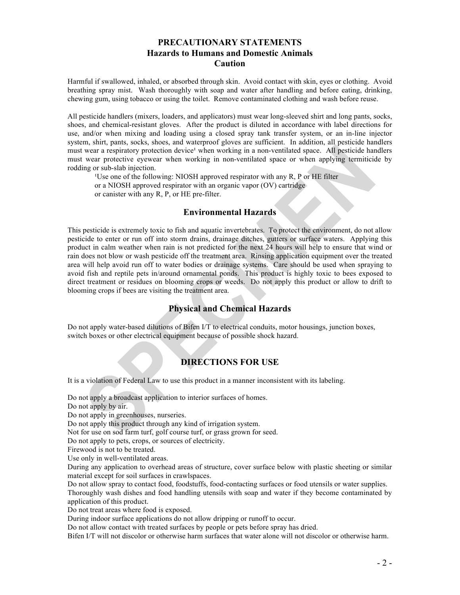# **PRECAUTIONARY STATEMENTS Hazards to Humans and Domestic Animals Caution**

Harmful if swallowed, inhaled, or absorbed through skin. Avoid contact with skin, eyes or clothing. Avoid breathing spray mist. Wash thoroughly with soap and water after handling and before eating, drinking, chewing gum, using tobacco or using the toilet. Remove contaminated clothing and wash before reuse.

All pesticide handlers (mixers, loaders, and applicators) must wear long-sleeved shirt and long pants, socks, shoes, and chemical-resistant gloves. After the product is diluted in accordance with label directions for use, and/or when mixing and loading using a closed spray tank transfer system, or an in-line injector system, shirt, pants, socks, shoes, and waterproof gloves are sufficient. In addition, all pesticide handlers must wear a respiratory protection device' when working in a non-ventilated space. All pesticide handlers must wear protective eyewear when working in non-ventilated space or when applying termiticide by rodding or sub-slab injection.

<sup>1</sup>Use one of the following: NIOSH approved respirator with any R, P or HE filter or a NIOSH approved respirator with an organic vapor (OV) cartridge or canister with any R, P, or HE pre-filter.

# **Environmental Hazards**

This pesticide is extremely toxic to fish and aquatic invertebrates. To protect the environment, do not allow pesticide to enter or run off into storm drains, drainage ditches, gutters or surface waters. Applying this product in calm weather when rain is not predicted for the next 24 hours will help to ensure that wind or rain does not blow or wash pesticide off the treatment area. Rinsing application equipment over the treated area will help avoid run off to water bodies or drainage systems. Care should be used when spraying to avoid fish and reptile pets in/around ornamental ponds. This product is highly toxic to bees exposed to direct treatment or residues on blooming crops or weeds. Do not apply this product or allow to drift to blooming crops if bees are visiting the treatment area.

# **Physical and Chemical Hazards**

Do not apply water-based dilutions of Bifen I/T to electrical conduits, motor housings, junction boxes, switch boxes or other electrical equipment because of possible shock hazard.

# **DIRECTIONS FOR USE**

It is a violation of Federal Law to use this product in a manner inconsistent with its labeling.

Do not apply a broadcast application to interior surfaces of homes.

Do not apply by air.

Do not apply in greenhouses, nurseries.

Do not apply this product through any kind of irrigation system.

Not for use on sod farm turf, golf course turf, or grass grown for seed.

Do not apply to pets, crops, or sources of electricity.

Firewood is not to be treated.

Use only in well-ventilated areas.

During any application to overhead areas of structure, cover surface below with plastic sheeting or similar material except for soil surfaces in crawlspaces.

Do not allow spray to contact food, foodstuffs, food-contacting surfaces or food utensils or water supplies. Thoroughly wash dishes and food handling utensils with soap and water if they become contaminated by application of this product.

Do not treat areas where food is exposed.

During indoor surface applications do not allow dripping or runoff to occur.

Do not allow contact with treated surfaces by people or pets before spray has dried.

Bifen I/T will not discolor or otherwise harm surfaces that water alone will not discolor or otherwise harm.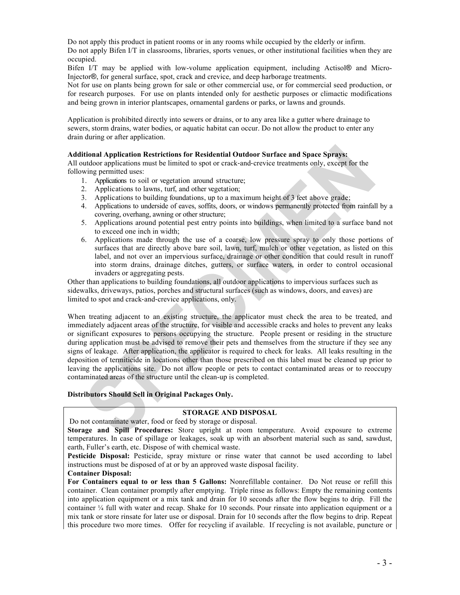Do not apply this product in patient rooms or in any rooms while occupied by the elderly or infirm. Do not apply Bifen I/T in classrooms, libraries, sports venues, or other institutional facilities when they are occupied.

Bifen I/T may be applied with low-volume application equipment, including Actisol® and Micro-Injector®, for general surface, spot, crack and crevice, and deep harborage treatments.

Not for use on plants being grown for sale or other commercial use, or for commercial seed production, or for research purposes. For use on plants intended only for aesthetic purposes or climactic modifications and being grown in interior plantscapes, ornamental gardens or parks, or lawns and grounds.

Application is prohibited directly into sewers or drains, or to any area like a gutter where drainage to sewers, storm drains, water bodies, or aquatic habitat can occur. Do not allow the product to enter any drain during or after application.

#### **Additional Application Restrictions for Residential Outdoor Surface and Space Sprays:**

All outdoor applications must be limited to spot or crack-and-crevice treatments only, except for the following permitted uses:

- 1. Applications to soil or vegetation around structure;
- 2. Applications to lawns, turf, and other vegetation;
- 3. Applications to building foundations, up to a maximum height of 3 feet above grade;
- 4. Applications to underside of eaves, soffits, doors, or windows permanently protected from rainfall by a covering, overhang, awning or other structure;
- 5. Applications around potential pest entry points into buildings, when limited to a surface band not to exceed one inch in width;
- 6. Applications made through the use of a coarse, low pressure spray to only those portions of surfaces that are directly above bare soil, lawn, turf, mulch or other vegetation, as listed on this label, and not over an impervious surface, drainage or other condition that could result in runoff into storm drains, drainage ditches, gutters, or surface waters, in order to control occasional invaders or aggregating pests.

Other than applications to building foundations, all outdoor applications to impervious surfaces such as sidewalks, driveways, patios, porches and structural surfaces (such as windows, doors, and eaves) are limited to spot and crack-and-crevice applications, only.

When treating adjacent to an existing structure, the applicator must check the area to be treated, and immediately adjacent areas of the structure, for visible and accessible cracks and holes to prevent any leaks or significant exposures to persons occupying the structure. People present or residing in the structure during application must be advised to remove their pets and themselves from the structure if they see any signs of leakage. After application, the applicator is required to check for leaks. All leaks resulting in the deposition of termiticide in locations other than those prescribed on this label must be cleaned up prior to leaving the applications site. Do not allow people or pets to contact contaminated areas or to reoccupy contaminated areas of the structure until the clean-up is completed.

## **Distributors Should Sell in Original Packages Only.**

## **STORAGE AND DISPOSAL**

Do not contaminate water, food or feed by storage or disposal.

**Storage and Spill Procedures:** Store upright at room temperature. Avoid exposure to extreme temperatures. In case of spillage or leakages, soak up with an absorbent material such as sand, sawdust, earth, Fuller's earth, etc. Dispose of with chemical waste.

**Pesticide Disposal:** Pesticide, spray mixture or rinse water that cannot be used according to label instructions must be disposed of at or by an approved waste disposal facility.

#### **Container Disposal:**

**For Containers equal to or less than 5 Gallons:** Nonrefillable container. Do Not reuse or refill this container. Clean container promptly after emptying. Triple rinse as follows: Empty the remaining contents into application equipment or a mix tank and drain for 10 seconds after the flow begins to drip. Fill the container ¼ full with water and recap. Shake for 10 seconds. Pour rinsate into application equipment or a mix tank or store rinsate for later use or disposal. Drain for 10 seconds after the flow begins to drip. Repeat this procedure two more times. Offer for recycling if available. If recycling is not available, puncture or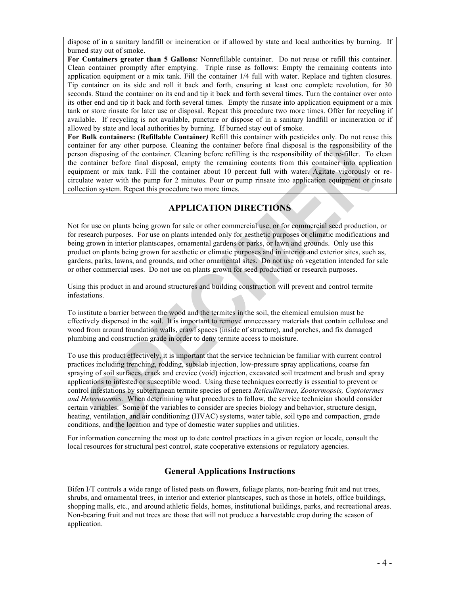dispose of in a sanitary landfill or incineration or if allowed by state and local authorities by burning. If burned stay out of smoke.

**For Containers greater than 5 Gallons***:* Nonrefillable container. Do not reuse or refill this container. Clean container promptly after emptying. Triple rinse as follows: Empty the remaining contents into application equipment or a mix tank. Fill the container 1/4 full with water. Replace and tighten closures. Tip container on its side and roll it back and forth, ensuring at least one complete revolution, for 30 seconds. Stand the container on its end and tip it back and forth several times. Turn the container over onto its other end and tip it back and forth several times. Empty the rinsate into application equipment or a mix tank or store rinsate for later use or disposal. Repeat this procedure two more times. Offer for recycling if available. If recycling is not available, puncture or dispose of in a sanitary landfill or incineration or if allowed by state and local authorities by burning. If burned stay out of smoke.

**For Bulk containers: (Refillable Container***)* Refill this container with pesticides only. Do not reuse this container for any other purpose*.* Cleaning the container before final disposal is the responsibility of the person disposing of the container. Cleaning before refilling is the responsibility of the re-filler.To clean the container before final disposal, empty the remaining contents from this container into application equipment or mix tank. Fill the container about 10 percent full with water. Agitate vigorously or recirculate water with the pump for 2 minutes. Pour or pump rinsate into application equipment or rinsate collection system. Repeat this procedure two more times.

# **APPLICATION DIRECTIONS**

Not for use on plants being grown for sale or other commercial use, or for commercial seed production, or for research purposes. For use on plants intended only for aesthetic purposes or climatic modifications and being grown in interior plantscapes, ornamental gardens or parks, or lawn and grounds. Only use this product on plants being grown for aesthetic or climatic purposes and in interior and exterior sites, such as, gardens, parks, lawns, and grounds, and other ornamental sites. Do not use on vegetation intended for sale or other commercial uses. Do not use on plants grown for seed production or research purposes.

Using this product in and around structures and building construction will prevent and control termite infestations.

To institute a barrier between the wood and the termites in the soil, the chemical emulsion must be effectively dispersed in the soil. It is important to remove unnecessary materials that contain cellulose and wood from around foundation walls, crawl spaces (inside of structure), and porches, and fix damaged plumbing and construction grade in order to deny termite access to moisture.

To use this product effectively, it is important that the service technician be familiar with current control practices including trenching, rodding, subslab injection, low-pressure spray applications, coarse fan spraying of soil surfaces, crack and crevice (void) injection, excavated soil treatment and brush and spray applications to infested or susceptible wood. Using these techniques correctly is essential to prevent or control infestations by subterranean termite species of genera *Reticulitermes, Zootermopsis, Coptotermes and Heterotermes.* When determining what procedures to follow, the service technician should consider certain variables. Some of the variables to consider are species biology and behavior, structure design, heating, ventilation, and air conditioning (HVAC) systems, water table, soil type and compaction, grade conditions, and the location and type of domestic water supplies and utilities.

For information concerning the most up to date control practices in a given region or locale, consult the local resources for structural pest control, state cooperative extensions or regulatory agencies.

# **General Applications Instructions**

Bifen I/T controls a wide range of listed pests on flowers, foliage plants, non-bearing fruit and nut trees, shrubs, and ornamental trees, in interior and exterior plantscapes, such as those in hotels, office buildings, shopping malls, etc., and around athletic fields, homes, institutional buildings, parks, and recreational areas. Non-bearing fruit and nut trees are those that will not produce a harvestable crop during the season of application.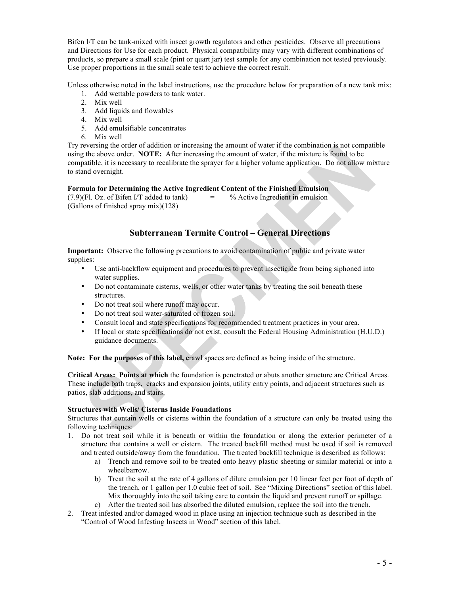Bifen I/T can be tank-mixed with insect growth regulators and other pesticides. Observe all precautions and Directions for Use for each product. Physical compatibility may vary with different combinations of products, so prepare a small scale (pint or quart jar) test sample for any combination not tested previously. Use proper proportions in the small scale test to achieve the correct result.

Unless otherwise noted in the label instructions, use the procedure below for preparation of a new tank mix:

- 1. Add wettable powders to tank water.
- 2. Mix well
- 3. Add liquids and flowables
- 4. Mix well
- 5. Add emulsifiable concentrates
- 6. Mix well

Try reversing the order of addition or increasing the amount of water if the combination is not compatible using the above order. **NOTE:** After increasing the amount of water, if the mixture is found to be compatible, it is necessary to recalibrate the sprayer for a higher volume application. Do not allow mixture to stand overnight.

## **Formula for Determining the Active Ingredient Content of the Finished Emulsion**

 $(7.9)$ (Fl. Oz. of Bifen  $I/T$  added to tank)  $=$  % Active Ingredient in emulsion (Gallons of finished spray mix)(128)

# **Subterranean Termite Control – General Directions**

**Important:** Observe the following precautions to avoid contamination of public and private water supplies:

- Use anti-backflow equipment and procedures to prevent insecticide from being siphoned into water supplies.
- Do not contaminate cisterns, wells, or other water tanks by treating the soil beneath these structures.
- Do not treat soil where runoff may occur.
- Do not treat soil water-saturated or frozen soil.
- Consult local and state specifications for recommended treatment practices in your area.
- If local or state specifications do not exist, consult the Federal Housing Administration (H.U.D.) guidance documents.

**Note: For the purposes of this label, c**rawl spaces are defined as being inside of the structure.

**Critical Areas: Points at which** the foundation is penetrated or abuts another structure are Critical Areas. These include bath traps, cracks and expansion joints, utility entry points, and adjacent structures such as patios, slab additions, and stairs.

## **Structures with Wells/ Cisterns Inside Foundations**

Structures that contain wells or cisterns within the foundation of a structure can only be treated using the following techniques:

- 1. Do not treat soil while it is beneath or within the foundation or along the exterior perimeter of a structure that contains a well or cistern. The treated backfill method must be used if soil is removed and treated outside/away from the foundation. The treated backfill technique is described as follows:
	- a) Trench and remove soil to be treated onto heavy plastic sheeting or similar material or into a wheelbarrow.
	- b) Treat the soil at the rate of 4 gallons of dilute emulsion per 10 linear feet per foot of depth of the trench, or 1 gallon per 1.0 cubic feet of soil. See "Mixing Directions" section of this label. Mix thoroughly into the soil taking care to contain the liquid and prevent runoff or spillage.
	- c) After the treated soil has absorbed the diluted emulsion, replace the soil into the trench.
- 2. Treat infested and/or damaged wood in place using an injection technique such as described in the "Control of Wood Infesting Insects in Wood" section of this label.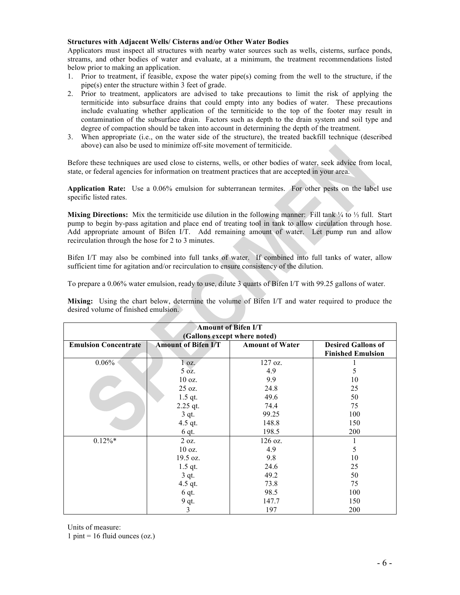## **Structures with Adjacent Wells/ Cisterns and/or Other Water Bodies**

Applicators must inspect all structures with nearby water sources such as wells, cisterns, surface ponds, streams, and other bodies of water and evaluate, at a minimum, the treatment recommendations listed below prior to making an application.

- 1. Prior to treatment, if feasible, expose the water pipe(s) coming from the well to the structure, if the pipe(s) enter the structure within 3 feet of grade.
- 2. Prior to treatment, applicators are advised to take precautions to limit the risk of applying the termiticide into subsurface drains that could empty into any bodies of water. These precautions include evaluating whether application of the termiticide to the top of the footer may result in contamination of the subsurface drain. Factors such as depth to the drain system and soil type and degree of compaction should be taken into account in determining the depth of the treatment.
- 3. When appropriate (i.e., on the water side of the structure), the treated backfill technique (described above) can also be used to minimize off-site movement of termiticide.

Before these techniques are used close to cisterns, wells, or other bodies of water, seek advice from local, state, or federal agencies for information on treatment practices that are accepted in your area.

**Application Rate:** Use a 0.06% emulsion for subterranean termites. For other pests on the label use specific listed rates.

**Mixing Directions:** Mix the termiticide use dilution in the following manner: Fill tank ¼ to ⅓ full. Start pump to begin by-pass agitation and place end of treating tool in tank to allow circulation through hose. Add appropriate amount of Bifen I/T. Add remaining amount of water. Let pump run and allow recirculation through the hose for 2 to 3 minutes.

Bifen I/T may also be combined into full tanks of water. If combined into full tanks of water, allow sufficient time for agitation and/or recirculation to ensure consistency of the dilution.

To prepare a 0.06% water emulsion, ready to use, dilute 3 quarts of Bifen I/T with 99.25 gallons of water.

**Mixing:** Using the chart below, determine the volume of Bifen I/T and water required to produce the desired volume of finished emulsion.

| <b>Amount of Bifen I/T</b><br>(Gallons except where noted)                                                                                   |            |         |            |  |  |
|----------------------------------------------------------------------------------------------------------------------------------------------|------------|---------|------------|--|--|
| <b>Emulsion Concentrate</b><br><b>Amount of Water</b><br><b>Amount of Bifen I/T</b><br><b>Desired Gallons of</b><br><b>Finished Emulsion</b> |            |         |            |  |  |
| $0.06\%$                                                                                                                                     | $1$ oz.    | 127 oz. |            |  |  |
|                                                                                                                                              | 5 oz.      | 4.9     | 5          |  |  |
|                                                                                                                                              | 10 oz.     | 9.9     | 10         |  |  |
|                                                                                                                                              | 25 oz.     | 24.8    | 25         |  |  |
|                                                                                                                                              | $1.5$ qt.  | 49.6    | 50         |  |  |
|                                                                                                                                              | $2.25$ qt. | 74.4    | 75         |  |  |
|                                                                                                                                              | $3$ qt.    | 99.25   | 100        |  |  |
|                                                                                                                                              | 4.5 qt.    | 148.8   | 150        |  |  |
|                                                                                                                                              | $6$ qt.    | 198.5   | 200        |  |  |
| $0.12\%*$                                                                                                                                    | 2 oz.      | 126 oz. |            |  |  |
|                                                                                                                                              | 10 oz.     | 4.9     | 5          |  |  |
|                                                                                                                                              | 19.5 oz.   | 9.8     | 10         |  |  |
|                                                                                                                                              | $1.5$ qt.  | 24.6    | 25         |  |  |
|                                                                                                                                              | $3$ qt.    | 49.2    | 50         |  |  |
|                                                                                                                                              | 4.5 qt.    | 73.8    | 75         |  |  |
|                                                                                                                                              | 6 qt.      | 98.5    | 100        |  |  |
|                                                                                                                                              | 9 qt.      | 147.7   | 150        |  |  |
|                                                                                                                                              | 3          | 197     | <b>200</b> |  |  |

Units of measure:

 $1 \text{ pint} = 16 \text{ fluid ounces}$  (oz.)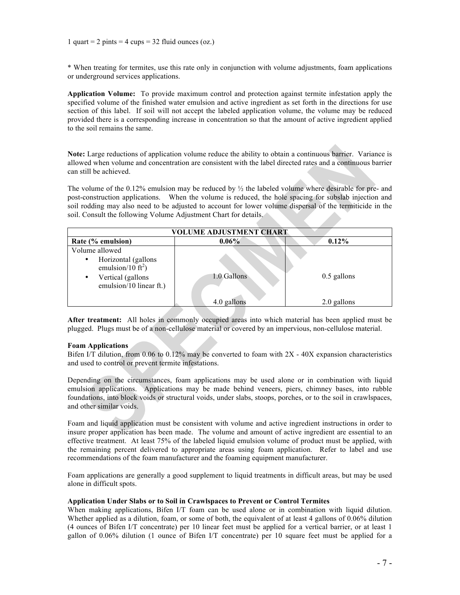\* When treating for termites, use this rate only in conjunction with volume adjustments, foam applications or underground services applications.

**Application Volume:** To provide maximum control and protection against termite infestation apply the specified volume of the finished water emulsion and active ingredient as set forth in the directions for use section of this label. If soil will not accept the labeled application volume, the volume may be reduced provided there is a corresponding increase in concentration so that the amount of active ingredient applied to the soil remains the same.

**Note:** Large reductions of application volume reduce the ability to obtain a continuous barrier. Variance is allowed when volume and concentration are consistent with the label directed rates and a continuous barrier can still be achieved.

The volume of the  $0.12\%$  emulsion may be reduced by  $\frac{1}{2}$  the labeled volume where desirable for pre- and post-construction applications. When the volume is reduced, the hole spacing for subslab injection and soil rodding may also need to be adjusted to account for lower volume dispersal of the termiticide in the soil. Consult the following Volume Adjustment Chart for details.

| VOLUME ADJUSTMENT CHART                                                                                                                         |             |               |  |  |
|-------------------------------------------------------------------------------------------------------------------------------------------------|-------------|---------------|--|--|
| Rate (% emulsion)                                                                                                                               | $0.06\%$    | $0.12\%$      |  |  |
| Volume allowed<br>Horizontal (gallons<br>$\bullet$<br>emulsion/10 $\tilde{ft}^2$ )<br>Vertical (gallons<br>$\bullet$<br>emulsion/10 linear ft.) | 1.0 Gallons | $0.5$ gallons |  |  |
|                                                                                                                                                 | 4.0 gallons | 2.0 gallons   |  |  |

**After treatment:** All holes in commonly occupied areas into which material has been applied must be plugged. Plugs must be of a non-cellulose material or covered by an impervious, non-cellulose material.

#### **Foam Applications**

Bifen I/T dilution, from 0.06 to 0.12% may be converted to foam with 2X - 40X expansion characteristics and used to control or prevent termite infestations.

Depending on the circumstances, foam applications may be used alone or in combination with liquid emulsion applications. Applications may be made behind veneers, piers, chimney bases, into rubble foundations, into block voids or structural voids, under slabs, stoops, porches, or to the soil in crawlspaces, and other similar voids.

Foam and liquid application must be consistent with volume and active ingredient instructions in order to insure proper application has been made. The volume and amount of active ingredient are essential to an effective treatment. At least 75% of the labeled liquid emulsion volume of product must be applied, with the remaining percent delivered to appropriate areas using foam application. Refer to label and use recommendations of the foam manufacturer and the foaming equipment manufacturer.

Foam applications are generally a good supplement to liquid treatments in difficult areas, but may be used alone in difficult spots.

#### **Application Under Slabs or to Soil in Crawlspaces to Prevent or Control Termites**

When making applications. Bifen I/T foam can be used alone or in combination with liquid dilution. Whether applied as a dilution, foam, or some of both, the equivalent of at least 4 gallons of 0.06% dilution (4 ounces of Bifen I/T concentrate) per 10 linear feet must be applied for a vertical barrier, or at least 1 gallon of 0.06% dilution (1 ounce of Bifen I/T concentrate) per 10 square feet must be applied for a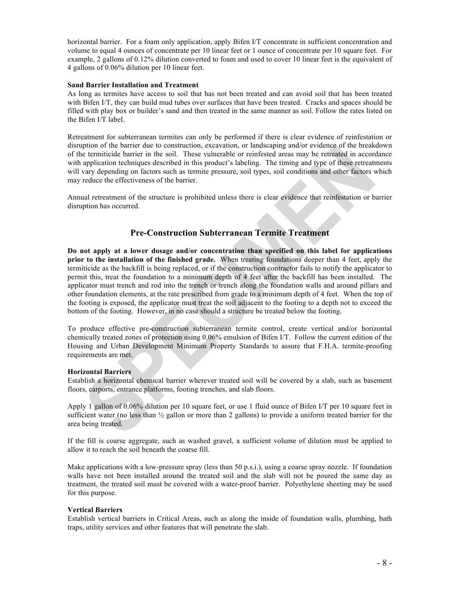horizontal barrier. For a foam only application, apply Bifen I/T concentrate in sufficient concentration and volume to equal 4 ounces of concentrate per 10 linear feet or 1 ounce of concentrate per 10 square feet. For example, 2 gallons of 0.12% dilution converted to foam and used to cover 10 linear feet is the equivalent of 4 gallons of 0.06% dilution per 10 linear feet.

#### **Sand Barrier Installation and Treatment**

As long as termites have access to soil that has not been treated and can avoid soil that has been treated with Bifen I/T, they can build mud tubes over surfaces that have been treated. Cracks and spaces should be filled with play box or builder's sand and then treated in the same manner as soil. Follow the rates listed on the Bifen I/T label.

Retreatment for subterranean termites can only be performed if there is clear evidence of reinfestation or disruption of the barrier due to construction, excavation, or landscaping and/or evidence of the breakdown of the termiticide barrier in the soil. These vulnerable or reinfested areas may be retreated in accordance with application techniques described in this product's labeling. The timing and type of these retreatments will vary depending on factors such as termite pressure, soil types, soil conditions and other factors which may reduce the effectiveness of the barrier.

Annual retreatment of the structure is prohibited unless there is clear evidence that reinfestation or barrier disruption has occurred.

## **Pre-Construction Subterranean Termite Treatment**

**Do not apply at a lower dosage and/or concentration than specified on this label for applications prior to the installation of the finished grade.** When treating foundations deeper than 4 feet, apply the termiticide as the backfill is being replaced, or if the construction contractor fails to notify the applicator to permit this, treat the foundation to a minimum depth of 4 feet after the backfill has been installed. The applicator must trench and rod into the trench or trench along the foundation walls and around pillars and other foundation elements, at the rate prescribed from grade to a minimum depth of 4 feet. When the top of the footing is exposed, the applicator must treat the soil adjacent to the footing to a depth not to exceed the bottom of the footing. However, in no case should a structure be treated below the footing.

To produce effective pre-construction subterranean termite control, create vertical and/or horizontal chemically treated zones of protection using 0.06% emulsion of Bifen I/T. Follow the current edition of the Housing and Urban Development Minimum Property Standards to assure that F.H.A. termite-proofing requirements are met.

#### **Horizontal Barriers**

Establish a horizontal chemical barrier wherever treated soil will be covered by a slab, such as basement floors, carports, entrance platforms, footing trenches, and slab floors.

Apply 1 gallon of 0.06% dilution per 10 square feet, or use 1 fluid ounce of Bifen I/T per 10 square feet in sufficient water (no less than  $\frac{1}{2}$  gallon or more than 2 gallons) to provide a uniform treated barrier for the area being treated.

If the fill is coarse aggregate, such as washed gravel, a sufficient volume of dilution must be applied to allow it to reach the soil beneath the coarse fill.

Make applications with a low-pressure spray (less than 50 p.s.i.), using a coarse spray nozzle. If foundation walls have not been installed around the treated soil and the slab will not be poured the same day as treatment, the treated soil must be covered with a water-proof barrier. Polyethylene sheeting may be used for this purpose.

#### **Vertical Barriers**

Establish vertical barriers in Critical Areas, such as along the inside of foundation walls, plumbing, bath traps, utility services and other features that will penetrate the slab.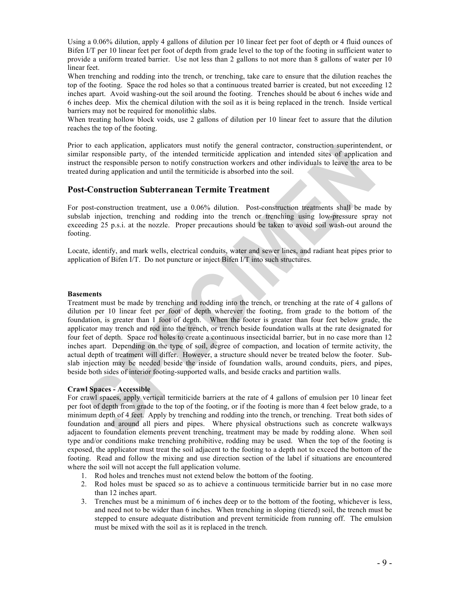Using a 0.06% dilution, apply 4 gallons of dilution per 10 linear feet per foot of depth or 4 fluid ounces of Bifen I/T per 10 linear feet per foot of depth from grade level to the top of the footing in sufficient water to provide a uniform treated barrier. Use not less than 2 gallons to not more than 8 gallons of water per 10 linear feet.

When trenching and rodding into the trench, or trenching, take care to ensure that the dilution reaches the top of the footing. Space the rod holes so that a continuous treated barrier is created, but not exceeding 12 inches apart. Avoid washing-out the soil around the footing. Trenches should be about 6 inches wide and 6 inches deep. Mix the chemical dilution with the soil as it is being replaced in the trench. Inside vertical barriers may not be required for monolithic slabs.

When treating hollow block voids, use 2 gallons of dilution per 10 linear feet to assure that the dilution reaches the top of the footing.

Prior to each application, applicators must notify the general contractor, construction superintendent, or similar responsible party, of the intended termiticide application and intended sites of application and instruct the responsible person to notify construction workers and other individuals to leave the area to be treated during application and until the termiticide is absorbed into the soil.

## **Post-Construction Subterranean Termite Treatment**

For post-construction treatment, use a 0.06% dilution. Post-construction treatments shall be made by subslab injection, trenching and rodding into the trench or trenching using low-pressure spray not exceeding 25 p.s.i. at the nozzle. Proper precautions should be taken to avoid soil wash-out around the footing.

Locate, identify, and mark wells, electrical conduits, water and sewer lines, and radiant heat pipes prior to application of Bifen I/T. Do not puncture or inject Bifen I/T into such structures.

#### **Basements**

Treatment must be made by trenching and rodding into the trench, or trenching at the rate of 4 gallons of dilution per 10 linear feet per foot of depth wherever the footing, from grade to the bottom of the foundation, is greater than 1 foot of depth. When the footer is greater than four feet below grade, the applicator may trench and rod into the trench, or trench beside foundation walls at the rate designated for four feet of depth. Space rod holes to create a continuous insecticidal barrier, but in no case more than 12 inches apart. Depending on the type of soil, degree of compaction, and location of termite activity, the actual depth of treatment will differ. However, a structure should never be treated below the footer. Subslab injection may be needed beside the inside of foundation walls, around conduits, piers, and pipes, beside both sides of interior footing-supported walls, and beside cracks and partition walls.

## **Crawl Spaces - Accessible**

For crawl spaces, apply vertical termiticide barriers at the rate of 4 gallons of emulsion per 10 linear feet per foot of depth from grade to the top of the footing, or if the footing is more than 4 feet below grade, to a minimum depth of 4 feet. Apply by trenching and rodding into the trench, or trenching. Treat both sides of foundation and around all piers and pipes. Where physical obstructions such as concrete walkways adjacent to foundation elements prevent trenching, treatment may be made by rodding alone. When soil type and/or conditions make trenching prohibitive, rodding may be used. When the top of the footing is exposed, the applicator must treat the soil adjacent to the footing to a depth not to exceed the bottom of the footing. Read and follow the mixing and use direction section of the label if situations are encountered where the soil will not accept the full application volume.

- 1. Rod holes and trenches must not extend below the bottom of the footing.
- 2. Rod holes must be spaced so as to achieve a continuous termiticide barrier but in no case more than 12 inches apart.
- 3. Trenches must be a minimum of 6 inches deep or to the bottom of the footing, whichever is less, and need not to be wider than 6 inches. When trenching in sloping (tiered) soil, the trench must be stepped to ensure adequate distribution and prevent termiticide from running off. The emulsion must be mixed with the soil as it is replaced in the trench.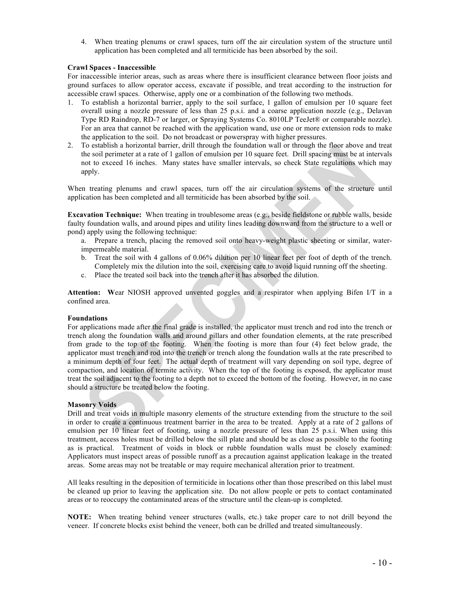4. When treating plenums or crawl spaces, turn off the air circulation system of the structure until application has been completed and all termiticide has been absorbed by the soil.

#### **Crawl Spaces - Inaccessible**

For inaccessible interior areas, such as areas where there is insufficient clearance between floor joists and ground surfaces to allow operator access, excavate if possible, and treat according to the instruction for accessible crawl spaces. Otherwise, apply one or a combination of the following two methods.

- 1. To establish a horizontal barrier, apply to the soil surface, 1 gallon of emulsion per 10 square feet overall using a nozzle pressure of less than 25 p.s.i. and a coarse application nozzle (e.g., Delavan Type RD Raindrop, RD-7 or larger, or Spraying Systems Co. 8010LP TeeJet® or comparable nozzle). For an area that cannot be reached with the application wand, use one or more extension rods to make the application to the soil. Do not broadcast or powerspray with higher pressures.
- 2. To establish a horizontal barrier, drill through the foundation wall or through the floor above and treat the soil perimeter at a rate of 1 gallon of emulsion per 10 square feet. Drill spacing must be at intervals not to exceed 16 inches. Many states have smaller intervals, so check State regulations which may apply.

When treating plenums and crawl spaces, turn off the air circulation systems of the structure until application has been completed and all termiticide has been absorbed by the soil.

**Excavation Technique:** When treating in troublesome areas (e.g., beside fieldstone or rubble walls, beside faulty foundation walls, and around pipes and utility lines leading downward from the structure to a well or pond) apply using the following technique:

- a. Prepare a trench, placing the removed soil onto heavy-weight plastic sheeting or similar, waterimpermeable material.
- b. Treat the soil with 4 gallons of 0.06% dilution per 10 linear feet per foot of depth of the trench. Completely mix the dilution into the soil, exercising care to avoid liquid running off the sheeting.
- c. Place the treated soil back into the trench after it has absorbed the dilution.

**Attention: W**ear NIOSH approved unvented goggles and a respirator when applying Bifen I/T in a confined area.

## **Foundations**

For applications made after the final grade is installed, the applicator must trench and rod into the trench or trench along the foundation walls and around pillars and other foundation elements, at the rate prescribed from grade to the top of the footing. When the footing is more than four (4) feet below grade, the applicator must trench and rod into the trench or trench along the foundation walls at the rate prescribed to a minimum depth of four feet. The actual depth of treatment will vary depending on soil type, degree of compaction, and location of termite activity. When the top of the footing is exposed, the applicator must treat the soil adjacent to the footing to a depth not to exceed the bottom of the footing. However, in no case should a structure be treated below the footing.

## **Masonry Voids**

Drill and treat voids in multiple masonry elements of the structure extending from the structure to the soil in order to create a continuous treatment barrier in the area to be treated. Apply at a rate of 2 gallons of emulsion per 10 linear feet of footing, using a nozzle pressure of less than 25 p.s.i. When using this treatment, access holes must be drilled below the sill plate and should be as close as possible to the footing as is practical. Treatment of voids in block or rubble foundation walls must be closely examined: Applicators must inspect areas of possible runoff as a precaution against application leakage in the treated areas. Some areas may not be treatable or may require mechanical alteration prior to treatment.

All leaks resulting in the deposition of termiticide in locations other than those prescribed on this label must be cleaned up prior to leaving the application site. Do not allow people or pets to contact contaminated areas or to reoccupy the contaminated areas of the structure until the clean-up is completed.

**NOTE:** When treating behind veneer structures (walls, etc.) take proper care to not drill beyond the veneer. If concrete blocks exist behind the veneer, both can be drilled and treated simultaneously.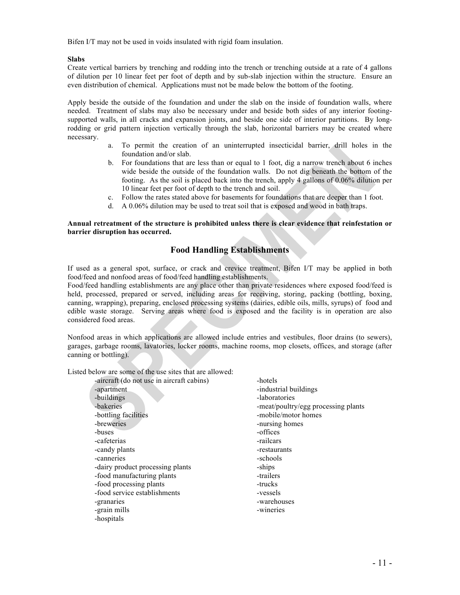Bifen I/T may not be used in voids insulated with rigid foam insulation.

#### **Slabs**

Create vertical barriers by trenching and rodding into the trench or trenching outside at a rate of 4 gallons of dilution per 10 linear feet per foot of depth and by sub-slab injection within the structure. Ensure an even distribution of chemical. Applications must not be made below the bottom of the footing.

Apply beside the outside of the foundation and under the slab on the inside of foundation walls, where needed. Treatment of slabs may also be necessary under and beside both sides of any interior footingsupported walls, in all cracks and expansion joints, and beside one side of interior partitions. By longrodding or grid pattern injection vertically through the slab, horizontal barriers may be created where necessary.

- a. To permit the creation of an uninterrupted insecticidal barrier, drill holes in the foundation and/or slab.
- b. For foundations that are less than or equal to 1 foot, dig a narrow trench about 6 inches wide beside the outside of the foundation walls. Do not dig beneath the bottom of the footing. As the soil is placed back into the trench, apply 4 gallons of 0.06% dilution per 10 linear feet per foot of depth to the trench and soil.
- c. Follow the rates stated above for basements for foundations that are deeper than 1 foot.
- d. A 0.06% dilution may be used to treat soil that is exposed and wood in bath traps.

#### **Annual retreatment of the structure is prohibited unless there is clear evidence that reinfestation or barrier disruption has occurred.**

# **Food Handling Establishments**

If used as a general spot, surface, or crack and crevice treatment, Bifen I/T may be applied in both food/feed and nonfood areas of food/feed handling establishments.

Food/feed handling establishments are any place other than private residences where exposed food/feed is held, processed, prepared or served, including areas for receiving, storing, packing (bottling, boxing, canning, wrapping), preparing, enclosed processing systems (dairies, edible oils, mills, syrups) of food and edible waste storage. Serving areas where food is exposed and the facility is in operation are also considered food areas.

Nonfood areas in which applications are allowed include entries and vestibules, floor drains (to sewers), garages, garbage rooms, lavatories, locker rooms, machine rooms, mop closets, offices, and storage (after canning or bottling).

Listed below are some of the use sites that are allowed:

| -hotels                             |
|-------------------------------------|
| -industrial buildings               |
| -laboratories                       |
| -meat/poultry/egg processing plants |
| -mobile/motor homes                 |
| -nursing homes                      |
| -offices                            |
| -railcars                           |
| -restaurants                        |
| -schools                            |
| -ships                              |
| -trailers                           |
| -trucks                             |
| -vessels                            |
| -warehouses                         |
| -wineries                           |
|                                     |
|                                     |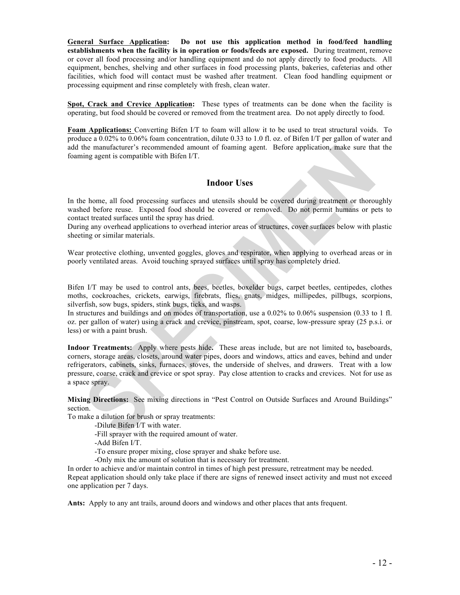**General Surface Application: Do not use this application method in food/feed handling establishments when the facility is in operation or foods/feeds are exposed.** During treatment, remove or cover all food processing and/or handling equipment and do not apply directly to food products. All equipment, benches, shelving and other surfaces in food processing plants, bakeries, cafeterias and other facilities, which food will contact must be washed after treatment. Clean food handling equipment or processing equipment and rinse completely with fresh, clean water.

**Spot, Crack and Crevice Application:** These types of treatments can be done when the facility is operating, but food should be covered or removed from the treatment area. Do not apply directly to food.

**Foam Applications:** Converting Bifen I/T to foam will allow it to be used to treat structural voids. To produce a 0.02% to 0.06% foam concentration, dilute 0.33 to 1.0 fl. oz. of Bifen I/T per gallon of water and add the manufacturer's recommended amount of foaming agent. Before application, make sure that the foaming agent is compatible with Bifen I/T.

## **Indoor Uses**

In the home, all food processing surfaces and utensils should be covered during treatment or thoroughly washed before reuse. Exposed food should be covered or removed. Do not permit humans or pets to contact treated surfaces until the spray has dried.

During any overhead applications to overhead interior areas of structures, cover surfaces below with plastic sheeting or similar materials.

Wear protective clothing, unvented goggles, gloves and respirator, when applying to overhead areas or in poorly ventilated areas. Avoid touching sprayed surfaces until spray has completely dried.

Bifen I/T may be used to control ants, bees, beetles, boxelder bugs, carpet beetles, centipedes, clothes moths, cockroaches, crickets, earwigs, firebrats, flies, gnats, midges, millipedes, pillbugs, scorpions, silverfish, sow bugs, spiders, stink bugs, ticks, and wasps.

In structures and buildings and on modes of transportation, use a 0.02% to 0.06% suspension (0.33 to 1 fl. oz. per gallon of water) using a crack and crevice, pinstream, spot, coarse, low-pressure spray (25 p.s.i. or less) or with a paint brush.

**Indoor Treatments:** Apply where pests hide**.** These areas include, but are not limited to**,** baseboards, corners, storage areas, closets, around water pipes, doors and windows, attics and eaves, behind and under refrigerators, cabinets, sinks, furnaces, stoves, the underside of shelves, and drawers. Treat with a low pressure, coarse, crack and crevice or spot spray. Pay close attention to cracks and crevices. Not for use as a space spray.

**Mixing Directions:** See mixing directions in "Pest Control on Outside Surfaces and Around Buildings" section.

To make a dilution for brush or spray treatments:

-Dilute Bifen I/T with water.

-Fill sprayer with the required amount of water.

-Add Bifen I/T.

-To ensure proper mixing, close sprayer and shake before use.

-Only mix the amount of solution that is necessary for treatment.

In order to achieve and/or maintain control in times of high pest pressure, retreatment may be needed.

Repeat application should only take place if there are signs of renewed insect activity and must not exceed one application per 7 days.

**Ants:** Apply to any ant trails, around doors and windows and other places that ants frequent.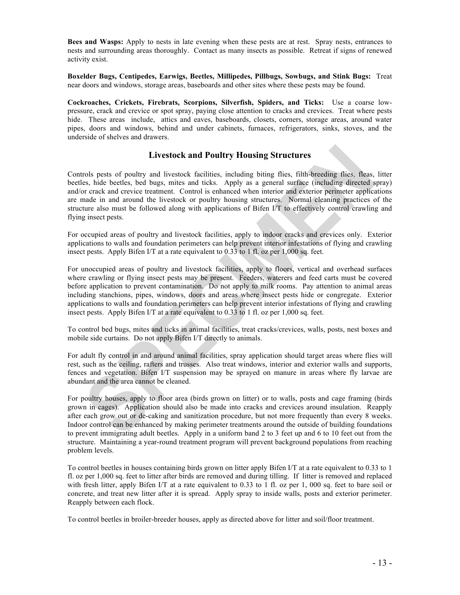**Bees and Wasps:** Apply to nests in late evening when these pests are at rest. Spray nests, entrances to nests and surrounding areas thoroughly. Contact as many insects as possible. Retreat if signs of renewed activity exist.

**Boxelder Bugs, Centipedes, Earwigs, Beetles, Millipedes, Pillbugs, Sowbugs, and Stink Bugs:** Treat near doors and windows, storage areas, baseboards and other sites where these pests may be found.

**Cockroaches, Crickets, Firebrats, Scorpions, Silverfish, Spiders, and Ticks:** Use a coarse lowpressure, crack and crevice or spot spray, paying close attention to cracks and crevices. Treat where pests hide. These areas include, attics and eaves, baseboards, closets, corners, storage areas, around water pipes, doors and windows, behind and under cabinets, furnaces, refrigerators, sinks, stoves, and the underside of shelves and drawers.

# **Livestock and Poultry Housing Structures**

Controls pests of poultry and livestock facilities, including biting flies, filth-breeding flies, fleas, litter beetles, hide beetles, bed bugs, mites and ticks. Apply as a general surface (including directed spray) and/or crack and crevice treatment. Control is enhanced when interior and exterior perimeter applications are made in and around the livestock or poultry housing structures. Normal cleaning practices of the structure also must be followed along with applications of Bifen I/T to effectively control crawling and flying insect pests.

For occupied areas of poultry and livestock facilities, apply to indoor cracks and crevices only. Exterior applications to walls and foundation perimeters can help prevent interior infestations of flying and crawling insect pests. Apply Bifen I/T at a rate equivalent to 0.33 to 1 fl. oz per 1,000 sq. feet.

For unoccupied areas of poultry and livestock facilities, apply to floors, vertical and overhead surfaces where crawling or flying insect pests may be present. Feeders, waterers and feed carts must be covered before application to prevent contamination. Do not apply to milk rooms. Pay attention to animal areas including stanchions, pipes, windows, doors and areas where insect pests hide or congregate. Exterior applications to walls and foundation perimeters can help prevent interior infestations of flying and crawling insect pests. Apply Bifen I/T at a rate equivalent to 0.33 to 1 fl. oz per 1,000 sq. feet.

To control bed bugs, mites and ticks in animal facilities, treat cracks/crevices, walls, posts, nest boxes and mobile side curtains. Do not apply Bifen I/T directly to animals.

For adult fly control in and around animal facilities, spray application should target areas where flies will rest, such as the ceiling, rafters and trusses. Also treat windows, interior and exterior walls and supports, fences and vegetation. Bifen I/T suspension may be sprayed on manure in areas where fly larvae are abundant and the area cannot be cleaned.

For poultry houses, apply to floor area (birds grown on litter) or to walls, posts and cage framing (birds grown in cages). Application should also be made into cracks and crevices around insulation. Reapply after each grow out or de-caking and sanitization procedure, but not more frequently than every 8 weeks. Indoor control can be enhanced by making perimeter treatments around the outside of building foundations to prevent immigrating adult beetles. Apply in a uniform band 2 to 3 feet up and 6 to 10 feet out from the structure. Maintaining a year-round treatment program will prevent background populations from reaching problem levels.

To control beetles in houses containing birds grown on litter apply Bifen I/T at a rate equivalent to 0.33 to 1 fl. oz per 1,000 sq. feet to litter after birds are removed and during tilling. If litter is removed and replaced with fresh litter, apply Bifen I/T at a rate equivalent to 0.33 to 1 fl. oz per 1, 000 sq. feet to bare soil or concrete, and treat new litter after it is spread. Apply spray to inside walls, posts and exterior perimeter. Reapply between each flock.

To control beetles in broiler-breeder houses, apply as directed above for litter and soil/floor treatment.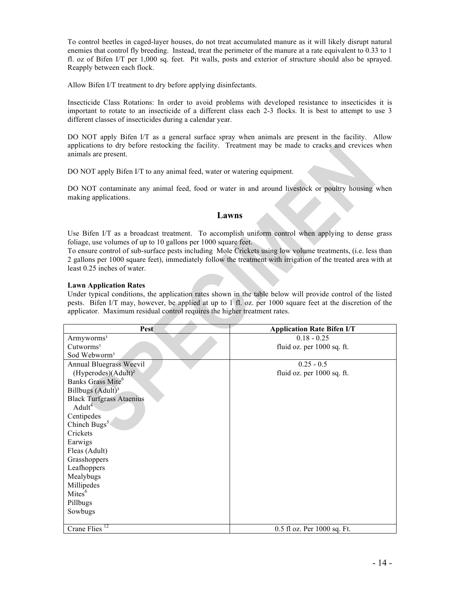To control beetles in caged-layer houses, do not treat accumulated manure as it will likely disrupt natural enemies that control fly breeding. Instead, treat the perimeter of the manure at a rate equivalent to 0.33 to 1 fl. oz of Bifen I/T per 1,000 sq. feet. Pit walls, posts and exterior of structure should also be sprayed. Reapply between each flock.

Allow Bifen I/T treatment to dry before applying disinfectants.

Insecticide Class Rotations: In order to avoid problems with developed resistance to insecticides it is important to rotate to an insecticide of a different class each 2-3 flocks. It is best to attempt to use 3 different classes of insecticides during a calendar year.

DO NOT apply Bifen I/T as a general surface spray when animals are present in the facility. Allow applications to dry before restocking the facility. Treatment may be made to cracks and crevices when animals are present.

DO NOT apply Bifen I/T to any animal feed, water or watering equipment.

DO NOT contaminate any animal feed, food or water in and around livestock or poultry housing when making applications.

## **Lawns**

Use Bifen I/T as a broadcast treatment. To accomplish uniform control when applying to dense grass foliage, use volumes of up to 10 gallons per 1000 square feet.

To ensure control of sub-surface pests including Mole Crickets using low volume treatments, (i.e. less than 2 gallons per 1000 square feet), immediately follow the treatment with irrigation of the treated area with at least 0.25 inches of water.

#### **Lawn Application Rates**

Under typical conditions, the application rates shown in the table below will provide control of the listed pests. Bifen I/T may, however, be applied at up to 1 fl. oz. per 1000 square feet at the discretion of the applicator. Maximum residual control requires the higher treatment rates.

| Pest                            | <b>Application Rate Bifen I/T</b> |
|---------------------------------|-----------------------------------|
| Armyworms <sup>1</sup>          | $0.18 - 0.25$                     |
| Cutworms <sup>1</sup>           | fluid oz. per 1000 sq. ft.        |
| Sod Webworm <sup>1</sup>        |                                   |
| Annual Bluegrass Weevil         | $0.25 - 0.5$                      |
| (Hyperodes)(Adult) <sup>2</sup> | fluid oz. per 1000 sq. ft.        |
| Banks Grass Mite <sup>6</sup>   |                                   |
| Billbugs (Adult) <sup>3</sup>   |                                   |
| <b>Black Turfgrass Ataenius</b> |                                   |
| $A \text{dult}^4$               |                                   |
| Centipedes                      |                                   |
| Chinch Bugs <sup>5</sup>        |                                   |
| Crickets                        |                                   |
| Earwigs                         |                                   |
| Fleas (Adult)                   |                                   |
| Grasshoppers                    |                                   |
| Leafhoppers                     |                                   |
| Mealybugs                       |                                   |
| Millipedes                      |                                   |
| Mites <sup>6</sup>              |                                   |
| Pillbugs                        |                                   |
| Sowbugs                         |                                   |
|                                 |                                   |
| Crane Flies <sup>12</sup>       | 0.5 fl oz. Per 1000 sq. Ft.       |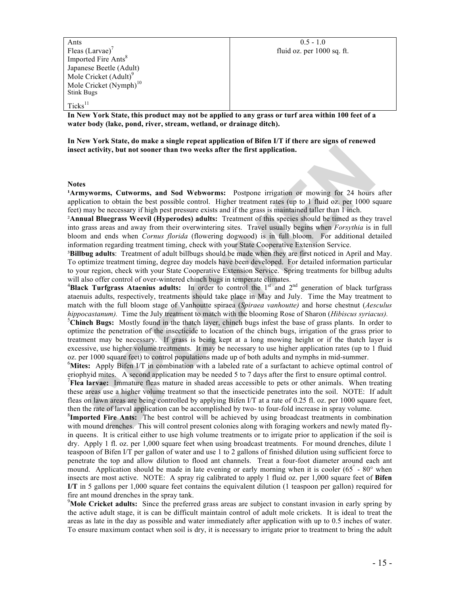| Ants                              | $0.5 - 1.0$                |
|-----------------------------------|----------------------------|
| Fleas $(Larvae)^{\prime}$         | fluid oz. per 1000 sq. ft. |
| Imported Fire Ants <sup>8</sup>   |                            |
| Japanese Beetle (Adult)           |                            |
| Mole Cricket (Adult) <sup>9</sup> |                            |
| Mole Cricket $(Nymph)^{10}$       |                            |
| <b>Stink Bugs</b>                 |                            |
| $Ticks^{11}$                      |                            |

**In New York State, this product may not be applied to any grass or turf area within 100 feet of a water body (lake, pond, river, stream, wetland, or drainage ditch).**

**In New York State, do make a single repeat application of Bifen I/T if there are signs of renewed insect activity, but not sooner than two weeks after the first application.**

**Notes**

<sup>1</sup>Armyworms, Cutworms, and Sod Webworms: Postpone irrigation or mowing for 24 hours after application to obtain the best possible control. Higher treatment rates (up to 1 fluid oz. per 1000 square feet) may be necessary if high pest pressure exists and if the grass is maintained taller than 1 inch.

²**Annual Bluegrass Weevil (Hyperodes) adults:** Treatment of this species should be timed as they travel into grass areas and away from their overwintering sites. Travel usually begins when *Forsythia* is in full bloom and ends when *Cornus florida* (flowering dogwood) is in full bloom. For additional detailed information regarding treatment timing, check with your State Cooperative Extension Service.

³**Billbug adults**: Treatment of adult billbugs should be made when they are first noticed in April and May. To optimize treatment timing, degree day models have been developed. For detailed information particular to your region, check with your State Cooperative Extension Service. Spring treatments for billbug adults will also offer control of over-wintered chinch bugs in temperate climates.

<sup>4</sup>Black Turfgrass Ataenius adults: In order to control the 1<sup>st</sup> and 2<sup>nd</sup> generation of black turfgrass ataenuis adults, respectively, treatments should take place in May and July. Time the May treatment to match with the full bloom stage of Vanhoutte spiraea (*Spiraea vanhoutte)* and horse chestnut (*Aesculus hippocastanum*). Time the July treatment to match with the blooming Rose of Sharon (*Hibiscus syriacus*).

<sup>5</sup>Chinch Bugs: Mostly found in the thatch layer, chinch bugs infest the base of grass plants. In order to optimize the penetration of the insecticide to location of the chinch bugs, irrigation of the grass prior to treatment may be necessary. If grass is being kept at a long mowing height or if the thatch layer is excessive, use higher volume treatments. It may be necessary to use higher application rates (up to 1 fluid oz. per 1000 square feet) to control populations made up of both adults and nymphs in mid-summer. <sup>6</sup>

**Mites:** Apply Bifen I/T in combination with a labeled rate of a surfactant to achieve optimal control of eriophyid mites. A second application may be needed 5 to 7 days after the first to ensure optimal control.

<sup>7</sup>Flea larvae: Immature fleas mature in shaded areas accessible to pets or other animals. When treating these areas use a higher volume treatment so that the insecticide penetrates into the soil. NOTE: If adult fleas on lawn areas are being controlled by applying Bifen I/T at a rate of 0.25 fl. oz. per 1000 square feet, then the rate of larval application can be accomplished by two- to four-fold increase in spray volume. 8

**Imported Fire Ants:** The best control will be achieved by using broadcast treatments in combination with mound drenches. This will control present colonies along with foraging workers and newly mated flyin queens. It is critical either to use high volume treatments or to irrigate prior to application if the soil is dry. Apply 1 fl. oz. per 1,000 square feet when using broadcast treatments. For mound drenches, dilute 1 teaspoon of Bifen I/T per gallon of water and use 1 to 2 gallons of finished dilution using sufficient force to penetrate the top and allow dilution to flood ant channels. Treat a four-foot diameter around each ant mound. Application should be made in late evening or early morning when it is cooler (65° - 80° when insects are most active. NOTE: A spray rig calibrated to apply 1 fluid oz. per 1,000 square feet of **Bifen I/T** in 5 gallons per 1,000 square feet contains the equivalent dilution (1 teaspoon per gallon) required for fire ant mound drenches in the spray tank.

<sup>9</sup>Mole Cricket adults: Since the preferred grass areas are subject to constant invasion in early spring by the active adult stage, it is can be difficult maintain control of adult mole crickets. It is ideal to treat the areas as late in the day as possible and water immediately after application with up to 0.5 inches of water. To ensure maximum contact when soil is dry, it is necessary to irrigate prior to treatment to bring the adult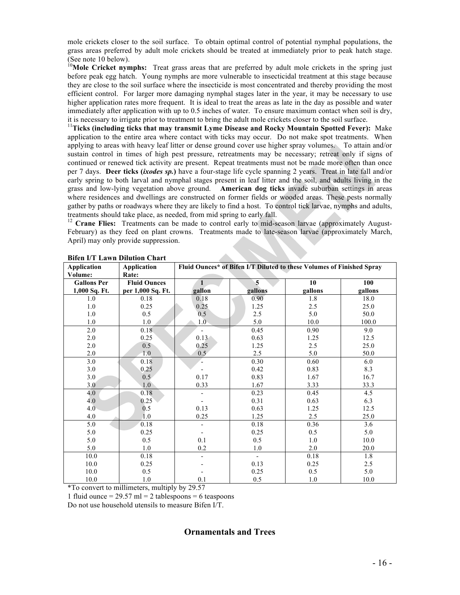mole crickets closer to the soil surface. To obtain optimal control of potential nymphal populations, the grass areas preferred by adult mole crickets should be treated at immediately prior to peak hatch stage. (See note 10 below).

<sup>10</sup>Mole Cricket nymphs: Treat grass areas that are preferred by adult mole crickets in the spring just before peak egg hatch. Young nymphs are more vulnerable to insecticidal treatment at this stage because they are close to the soil surface where the insecticide is most concentrated and thereby providing the most efficient control. For larger more damaging nymphal stages later in the year, it may be necessary to use higher application rates more frequent. It is ideal to treat the areas as late in the day as possible and water immediately after application with up to 0.5 inches of water. To ensure maximum contact when soil is dry, it is necessary to irrigate prior to treatment to bring the adult mole crickets closer to the soil surface. <sup>11</sup>**Ticks (including ticks that may transmit Lyme Disease and Rocky Mountain Spotted Fever):** Make

application to the entire area where contact with ticks may occur. Do not make spot treatments. When applying to areas with heavy leaf litter or dense ground cover use higher spray volumes. To attain and/or sustain control in times of high pest pressure, retreatments may be necessary; retreat only if signs of continued or renewed tick activity are present. Repeat treatments must not be made more often than once per 7 days. **Deer ticks (***ixodes sp.***)** have a four-stage life cycle spanning 2 years. Treat in late fall and/or early spring to both larval and nymphal stages present in leaf litter and the soil, and adults living in the grass and low-lying vegetation above ground. **American dog ticks** invade suburban settings in areas where residences and dwellings are constructed on former fields or wooded areas. These pests normally gather by paths or roadways where they are likely to find a host. To control tick larvae, nymphs and adults, treatments should take place, as needed, from mid spring to early fall.

<sup>12</sup> Crane Flies: Treatments can be made to control early to mid-season larvae (approximately August-February) as they feed on plant crowns. Treatments made to late-season larvae (approximately March, April) may only provide suppression.

| <b>Application</b> | Application         | Fluid Ounces* of Bifen I/T Diluted to these Volumes of Finished Spray |                         |         |         |
|--------------------|---------------------|-----------------------------------------------------------------------|-------------------------|---------|---------|
| Volume:            | Rate:               |                                                                       |                         |         |         |
| <b>Gallons Per</b> | <b>Fluid Ounces</b> |                                                                       | $\overline{\mathbf{5}}$ | 10      | 100     |
| 1,000 Sq. Ft.      | per 1,000 Sq. Ft.   | gallon                                                                | gallons                 | gallons | gallons |
| 1.0                | 0.18                | 0.18                                                                  | 0.90                    | 1.8     | 18.0    |
| 1.0                | 0.25                | 0.25                                                                  | 1.25                    | 2.5     | 25.0    |
| $1.0\,$            | 0.5                 | 0.5                                                                   | 2.5                     | 5.0     | 50.0    |
| 1.0                | 1.0                 | 1.0 <sub>1</sub>                                                      | 5.0                     | 10.0    | 100.0   |
| 2.0                | 0.18                |                                                                       | 0.45                    | 0.90    | 9.0     |
| $2.0\,$            | 0.25                | 0.13                                                                  | 0.63                    | 1.25    | 12.5    |
| 2.0                | 0.5                 | 0.25                                                                  | 1.25                    | 2.5     | 25.0    |
| 2.0                | 1.0                 | 0.5                                                                   | 2.5                     | 5.0     | 50.0    |
| 3.0                | 0.18                |                                                                       | 0.30                    | 0.60    | 6.0     |
| 3.0                | 0.25                |                                                                       | 0.42                    | 0.83    | 8.3     |
| 3.0                | 0.5                 | 0.17                                                                  | 0.83                    | 1.67    | 16.7    |
| 3.0                | 1.0                 | 0.33                                                                  | 1.67                    | 3.33    | 33.3    |
| 4.0                | 0.18                |                                                                       | 0.23                    | 0.45    | 4.5     |
| 4.0                | 0.25                |                                                                       | 0.31                    | 0.63    | 6.3     |
| 4.0                | 0.5                 | 0.13                                                                  | 0.63                    | 1.25    | 12.5    |
| 4.0                | 1.0                 | 0.25                                                                  | 1.25                    | 2.5     | 25.0    |
| 5.0                | 0.18                |                                                                       | 0.18                    | 0.36    | 3.6     |
| 5.0                | 0.25                |                                                                       | 0.25                    | 0.5     | 5.0     |
| 5.0                | 0.5                 | 0.1                                                                   | 0.5                     | 1.0     | 10.0    |
| 5.0                | 1.0                 | 0.2                                                                   | 1.0                     | 2.0     | 20.0    |
| 10.0               | 0.18                |                                                                       |                         | 0.18    | 1.8     |
| 10.0               | 0.25                |                                                                       | 0.13                    | 0.25    | 2.5     |
| 10.0               | 0.5                 |                                                                       | 0.25                    | 0.5     | 5.0     |
| 10.0               | 1.0                 | 0.1                                                                   | 0.5                     | 1.0     | 10.0    |

**Bifen I/T Lawn Dilution Chart**

\*To convert to millimeters, multiply by 29.57

1 fluid ounce =  $29.57$  ml = 2 tablespoons = 6 teaspoons

Do not use household utensils to measure Bifen I/T.

# **Ornamentals and Trees**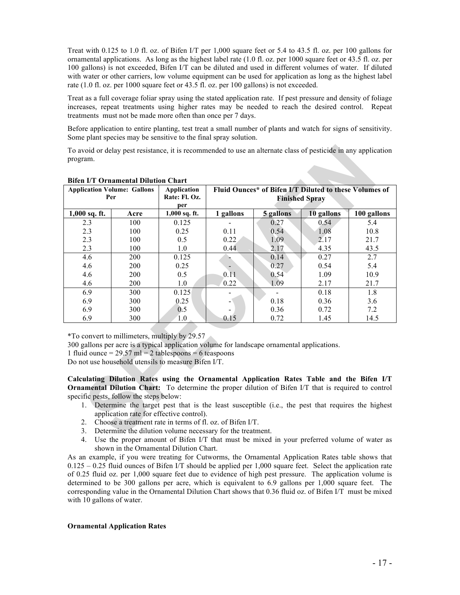Treat with 0.125 to 1.0 fl. oz. of Bifen I/T per 1,000 square feet or 5.4 to 43.5 fl. oz. per 100 gallons for ornamental applications. As long as the highest label rate (1.0 fl. oz. per 1000 square feet or 43.5 fl. oz. per 100 gallons) is not exceeded, Bifen I/T can be diluted and used in different volumes of water. If diluted with water or other carriers, low volume equipment can be used for application as long as the highest label rate (1.0 fl. oz. per 1000 square feet or 43.5 fl. oz. per 100 gallons) is not exceeded.

Treat as a full coverage foliar spray using the stated application rate. If pest pressure and density of foliage increases, repeat treatments using higher rates may be needed to reach the desired control. Repeat treatments must not be made more often than once per 7 days.

Before application to entire planting, test treat a small number of plants and watch for signs of sensitivity. Some plant species may be sensitive to the final spray solution.

To avoid or delay pest resistance, it is recommended to use an alternate class of pesticide in any application program.

|                 | <b>Application Volume: Gallons</b><br>Per | Application<br>Rate: Fl. Oz.<br>per | Fluid Ounces* of Bifen I/T Diluted to these Volumes of<br><b>Finished Spray</b> |           |            |             |
|-----------------|-------------------------------------------|-------------------------------------|---------------------------------------------------------------------------------|-----------|------------|-------------|
| $1,000$ sq. ft. | Acre                                      | 1,000 sq. ft.                       | 1 gallons                                                                       | 5 gallons | 10 gallons | 100 gallons |
| 2.3             | 100                                       | 0.125                               |                                                                                 | 0.27      | 0.54       | 5.4         |
| 2.3             | 100                                       | 0.25                                | 0.11                                                                            | 0.54      | 1.08       | 10.8        |
| 2.3             | 100                                       | 0.5                                 | 0.22                                                                            | 1.09      | 2.17       | 21.7        |
| 2.3             | 100                                       | 1.0                                 | 0.44                                                                            | 2.17      | 4.35       | 43.5        |
| 4.6             | 200                                       | 0.125                               |                                                                                 | 0.14      | 0.27       | 2.7         |
| 4.6             | 200                                       | 0.25                                |                                                                                 | 0.27      | 0.54       | 5.4         |
| 4.6             | 200                                       | 0.5                                 | 0.11                                                                            | 0.54      | 1.09       | 10.9        |
| 4.6             | 200                                       | 1.0                                 | 0.22                                                                            | 1.09      | 2.17       | 21.7        |
| 6.9             | 300                                       | 0.125                               |                                                                                 |           | 0.18       | 1.8         |
| 6.9             | 300                                       | 0.25                                |                                                                                 | 0.18      | 0.36       | 3.6         |
| 6.9             | 300                                       | 0.5                                 |                                                                                 | 0.36      | 0.72       | 7.2         |
| 6.9             | 300                                       | 1.0                                 | 0.15                                                                            | 0.72      | 1.45       | 14.5        |

#### **Bifen I/T Ornamental Dilution Chart**

\*To convert to millimeters, multiply by 29.57

300 gallons per acre is a typical application volume for landscape ornamental applications.

1 fluid ounce  $= 29.57$  ml  $= 2$  tablespoons  $= 6$  teaspoons

Do not use household utensils to measure Bifen I/T.

**Calculating Dilution Rates using the Ornamental Application Rates Table and the Bifen I/T Ornamental Dilution Chart:** To determine the proper dilution of Bifen I/T that is required to control specific pests, follow the steps below:

- 1. Determine the target pest that is the least susceptible (i.e., the pest that requires the highest application rate for effective control).
- 2. Choose a treatment rate in terms of fl. oz. of Bifen I/T.
- 3. Determine the dilution volume necessary for the treatment.
- 4. Use the proper amount of Bifen I/T that must be mixed in your preferred volume of water as shown in the Ornamental Dilution Chart.

As an example, if you were treating for Cutworms, the Ornamental Application Rates table shows that 0.125 – 0.25 fluid ounces of Bifen I/T should be applied per 1,000 square feet. Select the application rate of 0.25 fluid oz. per 1,000 square feet due to evidence of high pest pressure. The application volume is determined to be 300 gallons per acre, which is equivalent to 6.9 gallons per 1,000 square feet. The corresponding value in the Ornamental Dilution Chart shows that 0.36 fluid oz. of Bifen I/T must be mixed with 10 gallons of water.

#### **Ornamental Application Rates**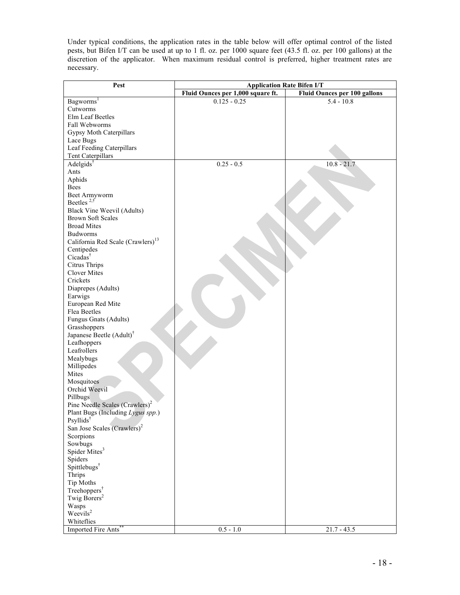Under typical conditions, the application rates in the table below will offer optimal control of the listed pests, but Bifen I/T can be used at up to 1 fl. oz. per 1000 square feet (43.5 fl. oz. per 100 gallons) at the discretion of the applicator. When maximum residual control is preferred, higher treatment rates are necessary.

| Fluid Ounces per 1,000 square ft.<br><b>Fluid Ounces per 100 gallons</b><br>Bagworms <sup>1</sup><br>$0.125 - 0.25$<br>$5.4 - 10.8$<br>Cutworms<br>Elm Leaf Beetles<br>Fall Webworms<br>Gypsy Moth Caterpillars<br>Lace Bugs<br>Leaf Feeding Caterpillars<br>Tent Caterpillars<br>Adelgids <sup>†</sup><br>$10.8 - 21.7$<br>$0.25 - 0.5$<br>Ants<br>Aphids<br>Bees<br>Beet Armyworm<br>Beetles $2, \check{t}$<br>Black Vine Weevil (Adults)<br><b>Brown Soft Scales</b><br><b>Broad Mites</b><br>Budworms<br>California Red Scale (Crawlers) <sup>13</sup><br>Centipedes<br>Cicadas <sup>†</sup><br>Citrus Thrips<br><b>Clover Mites</b><br>Crickets<br>Diaprepes (Adults)<br>Earwigs<br>European Red Mite<br>Flea Beetles<br>Fungus Gnats (Adults)<br>Grasshoppers<br>Japanese Beetle (Adult) <sup>†</sup><br>Leafhoppers<br>Leafrollers<br>Mealybugs<br>Millipedes<br>Mites<br>Mosquitoes<br>Orchid Weevil<br>Pillbugs<br>Pine Needle Scales $(Crawlers)^2$<br>Plant Bugs (Including Lygus spp.)<br>Psyllids<br>San Jose Scales (Crawlers) <sup>2</sup><br>Scorpions<br>Sowbugs<br>Spider Mites <sup>3</sup><br>Spiders<br>Spittlebugs <sup>†</sup><br>Thrips<br>Tip Moths<br>Treehoppers <sup>†</sup><br>Twig Borers <sup>2</sup> | Pest | <b>Application Rate Bifen I/T</b> |  |  |
|--------------------------------------------------------------------------------------------------------------------------------------------------------------------------------------------------------------------------------------------------------------------------------------------------------------------------------------------------------------------------------------------------------------------------------------------------------------------------------------------------------------------------------------------------------------------------------------------------------------------------------------------------------------------------------------------------------------------------------------------------------------------------------------------------------------------------------------------------------------------------------------------------------------------------------------------------------------------------------------------------------------------------------------------------------------------------------------------------------------------------------------------------------------------------------------------------------------------------------------|------|-----------------------------------|--|--|
|                                                                                                                                                                                                                                                                                                                                                                                                                                                                                                                                                                                                                                                                                                                                                                                                                                                                                                                                                                                                                                                                                                                                                                                                                                      |      |                                   |  |  |
|                                                                                                                                                                                                                                                                                                                                                                                                                                                                                                                                                                                                                                                                                                                                                                                                                                                                                                                                                                                                                                                                                                                                                                                                                                      |      |                                   |  |  |
|                                                                                                                                                                                                                                                                                                                                                                                                                                                                                                                                                                                                                                                                                                                                                                                                                                                                                                                                                                                                                                                                                                                                                                                                                                      |      |                                   |  |  |
|                                                                                                                                                                                                                                                                                                                                                                                                                                                                                                                                                                                                                                                                                                                                                                                                                                                                                                                                                                                                                                                                                                                                                                                                                                      |      |                                   |  |  |
|                                                                                                                                                                                                                                                                                                                                                                                                                                                                                                                                                                                                                                                                                                                                                                                                                                                                                                                                                                                                                                                                                                                                                                                                                                      |      |                                   |  |  |
|                                                                                                                                                                                                                                                                                                                                                                                                                                                                                                                                                                                                                                                                                                                                                                                                                                                                                                                                                                                                                                                                                                                                                                                                                                      |      |                                   |  |  |
|                                                                                                                                                                                                                                                                                                                                                                                                                                                                                                                                                                                                                                                                                                                                                                                                                                                                                                                                                                                                                                                                                                                                                                                                                                      |      |                                   |  |  |
|                                                                                                                                                                                                                                                                                                                                                                                                                                                                                                                                                                                                                                                                                                                                                                                                                                                                                                                                                                                                                                                                                                                                                                                                                                      |      |                                   |  |  |
|                                                                                                                                                                                                                                                                                                                                                                                                                                                                                                                                                                                                                                                                                                                                                                                                                                                                                                                                                                                                                                                                                                                                                                                                                                      |      |                                   |  |  |
|                                                                                                                                                                                                                                                                                                                                                                                                                                                                                                                                                                                                                                                                                                                                                                                                                                                                                                                                                                                                                                                                                                                                                                                                                                      |      |                                   |  |  |
|                                                                                                                                                                                                                                                                                                                                                                                                                                                                                                                                                                                                                                                                                                                                                                                                                                                                                                                                                                                                                                                                                                                                                                                                                                      |      |                                   |  |  |
|                                                                                                                                                                                                                                                                                                                                                                                                                                                                                                                                                                                                                                                                                                                                                                                                                                                                                                                                                                                                                                                                                                                                                                                                                                      |      |                                   |  |  |
|                                                                                                                                                                                                                                                                                                                                                                                                                                                                                                                                                                                                                                                                                                                                                                                                                                                                                                                                                                                                                                                                                                                                                                                                                                      |      |                                   |  |  |
|                                                                                                                                                                                                                                                                                                                                                                                                                                                                                                                                                                                                                                                                                                                                                                                                                                                                                                                                                                                                                                                                                                                                                                                                                                      |      |                                   |  |  |
|                                                                                                                                                                                                                                                                                                                                                                                                                                                                                                                                                                                                                                                                                                                                                                                                                                                                                                                                                                                                                                                                                                                                                                                                                                      |      |                                   |  |  |
|                                                                                                                                                                                                                                                                                                                                                                                                                                                                                                                                                                                                                                                                                                                                                                                                                                                                                                                                                                                                                                                                                                                                                                                                                                      |      |                                   |  |  |
|                                                                                                                                                                                                                                                                                                                                                                                                                                                                                                                                                                                                                                                                                                                                                                                                                                                                                                                                                                                                                                                                                                                                                                                                                                      |      |                                   |  |  |
|                                                                                                                                                                                                                                                                                                                                                                                                                                                                                                                                                                                                                                                                                                                                                                                                                                                                                                                                                                                                                                                                                                                                                                                                                                      |      |                                   |  |  |
|                                                                                                                                                                                                                                                                                                                                                                                                                                                                                                                                                                                                                                                                                                                                                                                                                                                                                                                                                                                                                                                                                                                                                                                                                                      |      |                                   |  |  |
|                                                                                                                                                                                                                                                                                                                                                                                                                                                                                                                                                                                                                                                                                                                                                                                                                                                                                                                                                                                                                                                                                                                                                                                                                                      |      |                                   |  |  |
|                                                                                                                                                                                                                                                                                                                                                                                                                                                                                                                                                                                                                                                                                                                                                                                                                                                                                                                                                                                                                                                                                                                                                                                                                                      |      |                                   |  |  |
|                                                                                                                                                                                                                                                                                                                                                                                                                                                                                                                                                                                                                                                                                                                                                                                                                                                                                                                                                                                                                                                                                                                                                                                                                                      |      |                                   |  |  |
|                                                                                                                                                                                                                                                                                                                                                                                                                                                                                                                                                                                                                                                                                                                                                                                                                                                                                                                                                                                                                                                                                                                                                                                                                                      |      |                                   |  |  |
|                                                                                                                                                                                                                                                                                                                                                                                                                                                                                                                                                                                                                                                                                                                                                                                                                                                                                                                                                                                                                                                                                                                                                                                                                                      |      |                                   |  |  |
|                                                                                                                                                                                                                                                                                                                                                                                                                                                                                                                                                                                                                                                                                                                                                                                                                                                                                                                                                                                                                                                                                                                                                                                                                                      |      |                                   |  |  |
|                                                                                                                                                                                                                                                                                                                                                                                                                                                                                                                                                                                                                                                                                                                                                                                                                                                                                                                                                                                                                                                                                                                                                                                                                                      |      |                                   |  |  |
|                                                                                                                                                                                                                                                                                                                                                                                                                                                                                                                                                                                                                                                                                                                                                                                                                                                                                                                                                                                                                                                                                                                                                                                                                                      |      |                                   |  |  |
|                                                                                                                                                                                                                                                                                                                                                                                                                                                                                                                                                                                                                                                                                                                                                                                                                                                                                                                                                                                                                                                                                                                                                                                                                                      |      |                                   |  |  |
|                                                                                                                                                                                                                                                                                                                                                                                                                                                                                                                                                                                                                                                                                                                                                                                                                                                                                                                                                                                                                                                                                                                                                                                                                                      |      |                                   |  |  |
|                                                                                                                                                                                                                                                                                                                                                                                                                                                                                                                                                                                                                                                                                                                                                                                                                                                                                                                                                                                                                                                                                                                                                                                                                                      |      |                                   |  |  |
|                                                                                                                                                                                                                                                                                                                                                                                                                                                                                                                                                                                                                                                                                                                                                                                                                                                                                                                                                                                                                                                                                                                                                                                                                                      |      |                                   |  |  |
|                                                                                                                                                                                                                                                                                                                                                                                                                                                                                                                                                                                                                                                                                                                                                                                                                                                                                                                                                                                                                                                                                                                                                                                                                                      |      |                                   |  |  |
|                                                                                                                                                                                                                                                                                                                                                                                                                                                                                                                                                                                                                                                                                                                                                                                                                                                                                                                                                                                                                                                                                                                                                                                                                                      |      |                                   |  |  |
|                                                                                                                                                                                                                                                                                                                                                                                                                                                                                                                                                                                                                                                                                                                                                                                                                                                                                                                                                                                                                                                                                                                                                                                                                                      |      |                                   |  |  |
|                                                                                                                                                                                                                                                                                                                                                                                                                                                                                                                                                                                                                                                                                                                                                                                                                                                                                                                                                                                                                                                                                                                                                                                                                                      |      |                                   |  |  |
|                                                                                                                                                                                                                                                                                                                                                                                                                                                                                                                                                                                                                                                                                                                                                                                                                                                                                                                                                                                                                                                                                                                                                                                                                                      |      |                                   |  |  |
|                                                                                                                                                                                                                                                                                                                                                                                                                                                                                                                                                                                                                                                                                                                                                                                                                                                                                                                                                                                                                                                                                                                                                                                                                                      |      |                                   |  |  |
|                                                                                                                                                                                                                                                                                                                                                                                                                                                                                                                                                                                                                                                                                                                                                                                                                                                                                                                                                                                                                                                                                                                                                                                                                                      |      |                                   |  |  |
|                                                                                                                                                                                                                                                                                                                                                                                                                                                                                                                                                                                                                                                                                                                                                                                                                                                                                                                                                                                                                                                                                                                                                                                                                                      |      |                                   |  |  |
|                                                                                                                                                                                                                                                                                                                                                                                                                                                                                                                                                                                                                                                                                                                                                                                                                                                                                                                                                                                                                                                                                                                                                                                                                                      |      |                                   |  |  |
|                                                                                                                                                                                                                                                                                                                                                                                                                                                                                                                                                                                                                                                                                                                                                                                                                                                                                                                                                                                                                                                                                                                                                                                                                                      |      |                                   |  |  |
|                                                                                                                                                                                                                                                                                                                                                                                                                                                                                                                                                                                                                                                                                                                                                                                                                                                                                                                                                                                                                                                                                                                                                                                                                                      |      |                                   |  |  |
|                                                                                                                                                                                                                                                                                                                                                                                                                                                                                                                                                                                                                                                                                                                                                                                                                                                                                                                                                                                                                                                                                                                                                                                                                                      |      |                                   |  |  |
|                                                                                                                                                                                                                                                                                                                                                                                                                                                                                                                                                                                                                                                                                                                                                                                                                                                                                                                                                                                                                                                                                                                                                                                                                                      |      |                                   |  |  |
|                                                                                                                                                                                                                                                                                                                                                                                                                                                                                                                                                                                                                                                                                                                                                                                                                                                                                                                                                                                                                                                                                                                                                                                                                                      |      |                                   |  |  |
|                                                                                                                                                                                                                                                                                                                                                                                                                                                                                                                                                                                                                                                                                                                                                                                                                                                                                                                                                                                                                                                                                                                                                                                                                                      |      |                                   |  |  |
|                                                                                                                                                                                                                                                                                                                                                                                                                                                                                                                                                                                                                                                                                                                                                                                                                                                                                                                                                                                                                                                                                                                                                                                                                                      |      |                                   |  |  |
|                                                                                                                                                                                                                                                                                                                                                                                                                                                                                                                                                                                                                                                                                                                                                                                                                                                                                                                                                                                                                                                                                                                                                                                                                                      |      |                                   |  |  |
|                                                                                                                                                                                                                                                                                                                                                                                                                                                                                                                                                                                                                                                                                                                                                                                                                                                                                                                                                                                                                                                                                                                                                                                                                                      |      |                                   |  |  |
|                                                                                                                                                                                                                                                                                                                                                                                                                                                                                                                                                                                                                                                                                                                                                                                                                                                                                                                                                                                                                                                                                                                                                                                                                                      |      |                                   |  |  |
|                                                                                                                                                                                                                                                                                                                                                                                                                                                                                                                                                                                                                                                                                                                                                                                                                                                                                                                                                                                                                                                                                                                                                                                                                                      |      |                                   |  |  |
|                                                                                                                                                                                                                                                                                                                                                                                                                                                                                                                                                                                                                                                                                                                                                                                                                                                                                                                                                                                                                                                                                                                                                                                                                                      |      |                                   |  |  |
| Wasps                                                                                                                                                                                                                                                                                                                                                                                                                                                                                                                                                                                                                                                                                                                                                                                                                                                                                                                                                                                                                                                                                                                                                                                                                                |      |                                   |  |  |
| Weevils <sup>2</sup>                                                                                                                                                                                                                                                                                                                                                                                                                                                                                                                                                                                                                                                                                                                                                                                                                                                                                                                                                                                                                                                                                                                                                                                                                 |      |                                   |  |  |
| Whiteflies                                                                                                                                                                                                                                                                                                                                                                                                                                                                                                                                                                                                                                                                                                                                                                                                                                                                                                                                                                                                                                                                                                                                                                                                                           |      |                                   |  |  |
| $0.5 - 1.0$<br>$21.7 - 43.5$<br>Imported Fire Ants <sup>*</sup>                                                                                                                                                                                                                                                                                                                                                                                                                                                                                                                                                                                                                                                                                                                                                                                                                                                                                                                                                                                                                                                                                                                                                                      |      |                                   |  |  |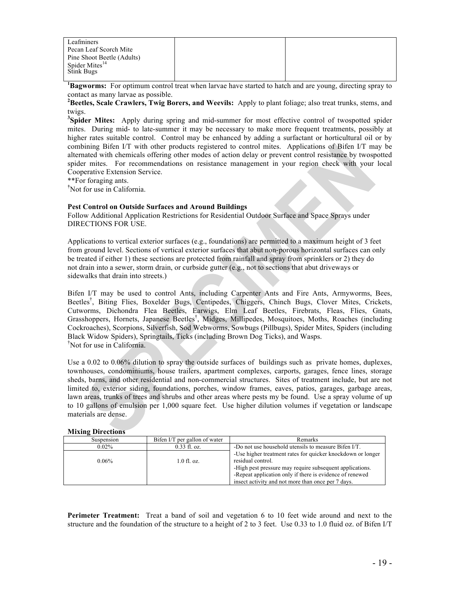| Leafminers                 |  |
|----------------------------|--|
| Pecan Leaf Scorch Mite     |  |
| Pine Shoot Beetle (Adults) |  |
| Spider Mites <sup>14</sup> |  |
| Stink Bugs                 |  |
|                            |  |

**1 Bagworms:** For optimum control treat when larvae have started to hatch and are young, directing spray to contact as many larvae as possible. **<sup>2</sup>**

<sup>2</sup>Beetles, Scale Crawlers, Twig Borers, and Weevils: Apply to plant foliage; also treat trunks, stems, and twigs.

<sup>3</sup>Spider Mites: Apply during spring and mid-summer for most effective control of twospotted spider mites. During mid- to late-summer it may be necessary to make more frequent treatments, possibly at higher rates suitable control. Control may be enhanced by adding a surfactant or horticultural oil or by combining Bifen I/T with other products registered to control mites. Applications of Bifen I/T may be alternated with chemicals offering other modes of action delay or prevent control resistance by twospotted spider mites. For recommendations on resistance management in your region check with your local Cooperative Extension Service.

\*\*For foraging ants.

**†** Not for use in California.

#### **Pest Control on Outside Surfaces and Around Buildings**

Follow Additional Application Restrictions for Residential Outdoor Surface and Space Sprays under DIRECTIONS FOR USE.

Applications to vertical exterior surfaces (e.g., foundations) are permitted to a maximum height of 3 feet from ground level. Sections of vertical exterior surfaces that abut non-porous horizontal surfaces can only be treated if either 1) these sections are protected from rainfall and spray from sprinklers or 2) they do not drain into a sewer, storm drain, or curbside gutter (e.g., not to sections that abut driveways or sidewalks that drain into streets.)

Bifen I/T may be used to control Ants, including Carpenter Ants and Fire Ants, Armyworms, Bees, Beetles† , Biting Flies, Boxelder Bugs, Centipedes, Chiggers, Chinch Bugs, Clover Mites, Crickets, Cutworms, Dichondra Flea Beetles, Earwigs, Elm Leaf Beetles, Firebrats, Fleas, Flies, Gnats, Grasshoppers, Hornets, Japanese Beetles† , Midges, Millipedes, Mosquitoes, Moths, Roaches (including Cockroaches), Scorpions, Silverfish, Sod Webworms, Sowbugs (Pillbugs), Spider Mites, Spiders (including Black Widow Spiders), Springtails, Ticks (including Brown Dog Ticks), and Wasps. † Not for use in California.

Use a 0.02 to 0.06% dilution to spray the outside surfaces of buildings such as private homes, duplexes, townhouses, condominiums, house trailers, apartment complexes, carports, garages, fence lines, storage sheds, barns, and other residential and non-commercial structures. Sites of treatment include, but are not limited to, exterior siding, foundations, porches, window frames, eaves, patios, garages, garbage areas, lawn areas, trunks of trees and shrubs and other areas where pests my be found. Use a spray volume of up to 10 gallons of emulsion per 1,000 square feet. Use higher dilution volumes if vegetation or landscape materials are dense.

#### **Mixing Directions**

| Suspension | Bifen I/T per gallon of water | Remarks                                                     |
|------------|-------------------------------|-------------------------------------------------------------|
| $0.02\%$   | $0.33$ fl. oz.                | -Do not use household utensils to measure Bifen I/T.        |
|            |                               | -Use higher treatment rates for quicker knockdown or longer |
| $0.06\%$   | $1.0$ fl. oz.                 | residual control.                                           |
|            |                               | -High pest pressure may require subsequent applications.    |
|            |                               | -Repeat application only if there is evidence of renewed    |
|            |                               | insect activity and not more than once per 7 days.          |

**Perimeter Treatment:** Treat a band of soil and vegetation 6 to 10 feet wide around and next to the structure and the foundation of the structure to a height of 2 to 3 feet. Use 0.33 to 1.0 fluid oz. of Bifen I/T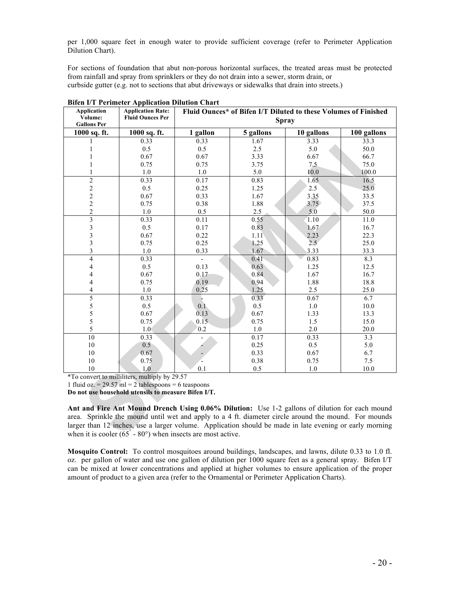per 1,000 square feet in enough water to provide sufficient coverage (refer to Perimeter Application Dilution Chart).

For sections of foundation that abut non-porous horizontal surfaces, the treated areas must be protected from rainfall and spray from sprinklers or they do not drain into a sewer, storm drain, or curbside gutter (e.g. not to sections that abut driveways or sidewalks that drain into streets.)

| Application<br>Volume:<br><b>Gallons Per</b> | <b>Application Rate:</b><br><b>Fluid Ounces Per</b> | вися и т стински дервканон вницоп спате<br>Fluid Ounces* of Bifen I/T Diluted to these Volumes of Finished<br><b>Spray</b> |           |               |             |
|----------------------------------------------|-----------------------------------------------------|----------------------------------------------------------------------------------------------------------------------------|-----------|---------------|-------------|
| 1000 sq. ft.                                 | 1000 sq. ft.                                        | 1 gallon                                                                                                                   | 5 gallons | 10 gallons    | 100 gallons |
| 1                                            | 0.33                                                | 0.33                                                                                                                       | 1.67      | 3.33          | 33.3        |
| 1                                            | 0.5                                                 | 0.5                                                                                                                        | 2.5       | 5.0           | 50.0        |
|                                              | 0.67                                                | 0.67                                                                                                                       | 3.33      | 6.67          | 66.7        |
|                                              | 0.75                                                | 0.75                                                                                                                       | 3.75      | 7.5           | 75.0        |
|                                              | 1.0                                                 | $1.0\,$                                                                                                                    | 5.0       | 10.0          | 100.0       |
| $\overline{c}$                               | 0.33                                                | 0.17                                                                                                                       | 0.83      | 1.65          | 16.5        |
|                                              | 0.5                                                 | 0.25                                                                                                                       | 1.25      | 2.5           | 25.0        |
| $\frac{2}{2}$                                | 0.67                                                | 0.33                                                                                                                       | 1.67      | 3.35          | 33.5        |
|                                              | 0.75                                                | 0.38                                                                                                                       | 1.88      | 3.75          | 37.5        |
| $\frac{2}{2}$                                | 1.0                                                 | 0.5                                                                                                                        | 2.5       | 5.0           | 50.0        |
| $\overline{3}$                               | 0.33                                                | 0.11                                                                                                                       | 0.55      | 1.10          | 11.0        |
| $\overline{\mathbf{3}}$                      | 0.5                                                 | 0.17                                                                                                                       | 0.83      | 1.67          | 16.7        |
| 3                                            | 0.67                                                | 0.22                                                                                                                       | 1.11      | 2.23          | 22.3        |
| 3                                            | 0.75                                                | 0.25                                                                                                                       | 1.25      | $2.5^{\circ}$ | 25.0        |
| $\overline{\mathbf{3}}$                      | $1.0\,$                                             | 0.33                                                                                                                       | 1.67      | 3.33          | 33.3        |
| $\overline{4}$                               | 0.33                                                |                                                                                                                            | 0.41      | 0.83          | 8.3         |
| 4                                            | 0.5                                                 | 0.13                                                                                                                       | 0.63      | 1.25          | 12.5        |
| 4                                            | 0.67                                                | 0.17                                                                                                                       | 0.84      | 1.67          | 16.7        |
| 4                                            | 0.75                                                | 0.19                                                                                                                       | 0.94      | 1.88          | 18.8        |
| 4                                            | 1.0                                                 | 0.25                                                                                                                       | 1.25      | 2.5           | 25.0        |
| 5                                            | 0.33                                                |                                                                                                                            | 0.33      | 0.67          | 6.7         |
| $\frac{5}{5}$                                | 0.5                                                 | 0.1                                                                                                                        | 0.5       | 1.0           | 10.0        |
|                                              | 0.67                                                | 0.13                                                                                                                       | 0.67      | 1.33          | 13.3        |
| 5                                            | 0.75                                                | 0.15                                                                                                                       | 0.75      | 1.5           | 15.0        |
| 5                                            | 1.0 <sub>l</sub>                                    | 0.2                                                                                                                        | $1.0\,$   | 2.0           | 20.0        |
| 10                                           | 0.33                                                |                                                                                                                            | 0.17      | 0.33          | 3.3         |
| 10                                           | 0.5                                                 |                                                                                                                            | 0.25      | 0.5           | 5.0         |
| 10                                           | 0.67                                                |                                                                                                                            | 0.33      | 0.67          | 6.7         |
| 10                                           | 0.75                                                |                                                                                                                            | 0.38      | 0.75          | 7.5         |
| 10                                           | 1.0                                                 | 0.1                                                                                                                        | 0.5       | 1.0           | 10.0        |

**Bifen I/T Perimeter Application Dilution Chart**

\*To convert to milliliters, multiply by 29.57

1 fluid oz. = 29.57 ml = 2 tablespoons = 6 teaspoons

**Do not use household utensils to measure Bifen I/T.**

**Ant and Fire Ant Mound Drench Using 0.06% Dilution:** Use 1-2 gallons of dilution for each mound area. Sprinkle the mound until wet and apply to a 4 ft. diameter circle around the mound. For mounds larger than 12 inches, use a larger volume. Application should be made in late evening or early morning when it is cooler  $(65^\circ - 80^\circ)$  when insects are most active.

**Mosquito Control:** To control mosquitoes around buildings, landscapes, and lawns, dilute 0.33 to 1.0 fl. oz. per gallon of water and use one gallon of dilution per 1000 square feet as a general spray. Bifen I/T can be mixed at lower concentrations and applied at higher volumes to ensure application of the proper amount of product to a given area (refer to the Ornamental or Perimeter Application Charts).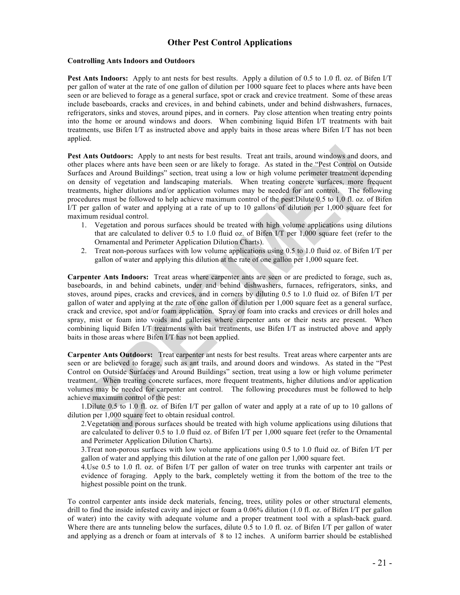# **Other Pest Control Applications**

#### **Controlling Ants Indoors and Outdoors**

**Pest Ants Indoors:** Apply to ant nests for best results. Apply a dilution of 0.5 to 1.0 fl. oz. of Bifen I/T per gallon of water at the rate of one gallon of dilution per 1000 square feet to places where ants have been seen or are believed to forage as a general surface, spot or crack and crevice treatment. Some of these areas include baseboards, cracks and crevices, in and behind cabinets, under and behind dishwashers, furnaces, refrigerators, sinks and stoves, around pipes, and in corners. Pay close attention when treating entry points into the home or around windows and doors. When combining liquid Bifen I/T treatments with bait treatments, use Bifen I/T as instructed above and apply baits in those areas where Bifen I/T has not been applied.

**Pest Ants Outdoors:** Apply to ant nests for best results. Treat ant trails, around windows and doors, and other places where ants have been seen or are likely to forage. As stated in the "Pest Control on Outside Surfaces and Around Buildings" section, treat using a low or high volume perimeter treatment depending on density of vegetation and landscaping materials. When treating concrete surfaces, more frequent treatments, higher dilutions and/or application volumes may be needed for ant control. The following procedures must be followed to help achieve maximum control of the pest:Dilute 0.5 to 1.0 fl. oz. of Bifen I/T per gallon of water and applying at a rate of up to 10 gallons of dilution per 1,000 square feet for maximum residual control.

- 1. Vegetation and porous surfaces should be treated with high volume applications using dilutions that are calculated to deliver 0.5 to 1.0 fluid oz. of Bifen I/T per 1,000 square feet (refer to the Ornamental and Perimeter Application Dilution Charts).
- 2. Treat non-porous surfaces with low volume applications using 0.5 to 1.0 fluid oz. of Bifen I/T per gallon of water and applying this dilution at the rate of one gallon per 1,000 square feet.

**Carpenter Ants Indoors:** Treat areas where carpenter ants are seen or are predicted to forage, such as, baseboards, in and behind cabinets, under and behind dishwashers, furnaces, refrigerators, sinks, and stoves, around pipes, cracks and crevices, and in corners by diluting 0.5 to 1.0 fluid oz. of Bifen I/T per gallon of water and applying at the rate of one gallon of dilution per 1,000 square feet as a general surface, crack and crevice, spot and/or foam application. Spray or foam into cracks and crevices or drill holes and spray, mist or foam into voids and galleries where carpenter ants or their nests are present. When combining liquid Bifen I/T treatments with bait treatments, use Bifen I/T as instructed above and apply baits in those areas where Bifen I/T has not been applied.

**Carpenter Ants Outdoors:** Treat carpenter ant nests for best results. Treat areas where carpenter ants are seen or are believed to forage, such as ant trails, and around doors and windows. As stated in the "Pest Control on Outside Surfaces and Around Buildings" section, treat using a low or high volume perimeter treatment. When treating concrete surfaces, more frequent treatments, higher dilutions and/or application volumes may be needed for carpenter ant control. The following procedures must be followed to help achieve maximum control of the pest:

1.Dilute 0.5 to 1.0 fl. oz. of Bifen I/T per gallon of water and apply at a rate of up to 10 gallons of dilution per 1,000 square feet to obtain residual control.

2.Vegetation and porous surfaces should be treated with high volume applications using dilutions that are calculated to deliver 0.5 to 1.0 fluid oz. of Bifen I/T per 1,000 square feet (refer to the Ornamental and Perimeter Application Dilution Charts).

3.Treat non-porous surfaces with low volume applications using 0.5 to 1.0 fluid oz. of Bifen I/T per gallon of water and applying this dilution at the rate of one gallon per 1,000 square feet.

4.Use 0.5 to 1.0 fl. oz. of Bifen I/T per gallon of water on tree trunks with carpenter ant trails or evidence of foraging. Apply to the bark, completely wetting it from the bottom of the tree to the highest possible point on the trunk.

To control carpenter ants inside deck materials, fencing, trees, utility poles or other structural elements, drill to find the inside infested cavity and inject or foam a 0.06% dilution (1.0 fl. oz. of Bifen I/T per gallon of water) into the cavity with adequate volume and a proper treatment tool with a splash-back guard. Where there are ants tunneling below the surfaces, dilute 0.5 to 1.0 fl. oz. of Bifen I/T per gallon of water and applying as a drench or foam at intervals of 8 to 12 inches. A uniform barrier should be established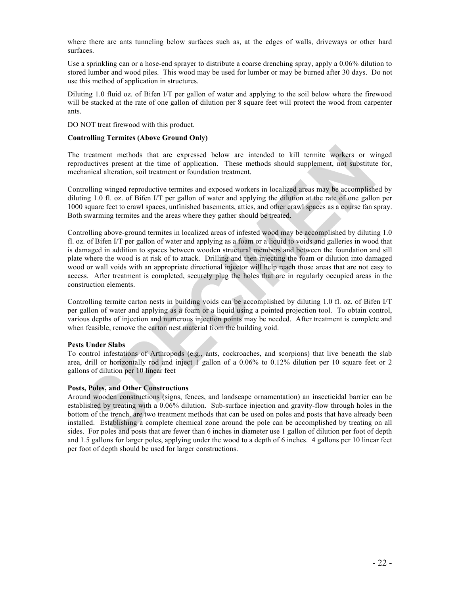where there are ants tunneling below surfaces such as, at the edges of walls, driveways or other hard surfaces.

Use a sprinkling can or a hose-end sprayer to distribute a coarse drenching spray, apply a 0.06% dilution to stored lumber and wood piles. This wood may be used for lumber or may be burned after 30 days. Do not use this method of application in structures.

Diluting 1.0 fluid oz. of Bifen I/T per gallon of water and applying to the soil below where the firewood will be stacked at the rate of one gallon of dilution per 8 square feet will protect the wood from carpenter ants.

DO NOT treat firewood with this product.

#### **Controlling Termites (Above Ground Only)**

The treatment methods that are expressed below are intended to kill termite workers or winged reproductives present at the time of application. These methods should supplement, not substitute for, mechanical alteration, soil treatment or foundation treatment.

Controlling winged reproductive termites and exposed workers in localized areas may be accomplished by diluting 1.0 fl. oz. of Bifen I/T per gallon of water and applying the dilution at the rate of one gallon per 1000 square feet to crawl spaces, unfinished basements, attics, and other crawl spaces as a course fan spray. Both swarming termites and the areas where they gather should be treated.

Controlling above-ground termites in localized areas of infested wood may be accomplished by diluting 1.0 fl. oz. of Bifen I/T per gallon of water and applying as a foam or a liquid to voids and galleries in wood that is damaged in addition to spaces between wooden structural members and between the foundation and sill plate where the wood is at risk of to attack. Drilling and then injecting the foam or dilution into damaged wood or wall voids with an appropriate directional injector will help reach those areas that are not easy to access. After treatment is completed, securely plug the holes that are in regularly occupied areas in the construction elements.

Controlling termite carton nests in building voids can be accomplished by diluting 1.0 fl. oz. of Bifen I/T per gallon of water and applying as a foam or a liquid using a pointed projection tool. To obtain control, various depths of injection and numerous injection points may be needed. After treatment is complete and when feasible, remove the carton nest material from the building void.

#### **Pests Under Slabs**

To control infestations of Arthropods (e.g., ants, cockroaches, and scorpions) that live beneath the slab area, drill or horizontally rod and inject 1 gallon of a 0.06% to 0.12% dilution per 10 square feet or 2 gallons of dilution per 10 linear feet

## **Posts, Poles, and Other Constructions**

Around wooden constructions (signs, fences, and landscape ornamentation) an insecticidal barrier can be established by treating with a 0.06% dilution. Sub-surface injection and gravity-flow through holes in the bottom of the trench, are two treatment methods that can be used on poles and posts that have already been installed. Establishing a complete chemical zone around the pole can be accomplished by treating on all sides. For poles and posts that are fewer than 6 inches in diameter use 1 gallon of dilution per foot of depth and 1.5 gallons for larger poles, applying under the wood to a depth of 6 inches. 4 gallons per 10 linear feet per foot of depth should be used for larger constructions.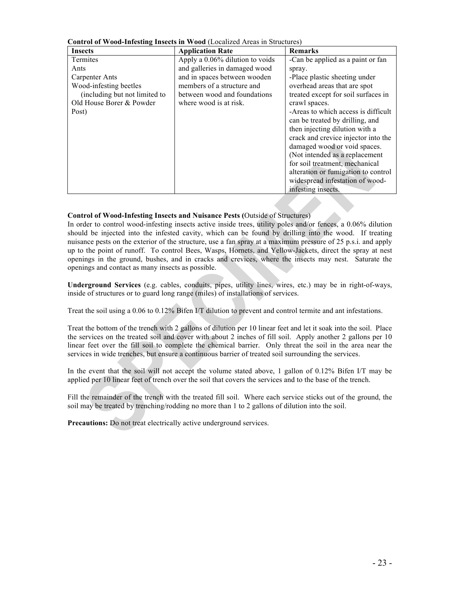| <b>Insects</b>                | <b>Application Rate</b>         | <b>Remarks</b>                      |  |
|-------------------------------|---------------------------------|-------------------------------------|--|
| Termites                      | Apply a 0.06% dilution to voids | -Can be applied as a paint or fan   |  |
| Ants                          | and galleries in damaged wood   | spray.                              |  |
| Carpenter Ants                | and in spaces between wooden    | -Place plastic sheeting under       |  |
| Wood-infesting beetles        | members of a structure and      | overhead areas that are spot        |  |
| (including but not limited to | between wood and foundations    | treated except for soil surfaces in |  |
| Old House Borer & Powder      | where wood is at risk.          | crawl spaces.                       |  |
| Post)                         |                                 | -Areas to which access is difficult |  |
|                               |                                 | can be treated by drilling, and     |  |
|                               |                                 | then injecting dilution with a      |  |
|                               |                                 | crack and crevice injector into the |  |
|                               |                                 | damaged wood or void spaces.        |  |
|                               |                                 | (Not intended as a replacement      |  |
|                               |                                 | for soil treatment, mechanical      |  |
|                               |                                 | alteration or fumigation to control |  |
|                               |                                 | widespread infestation of wood-     |  |
|                               |                                 | infesting insects.                  |  |

**Control of Wood-Infesting Insects in Wood** (Localized Areas in Structures)

## **Control of Wood-Infesting Insects and Nuisance Pests (**Outside of Structures)

In order to control wood-infesting insects active inside trees, utility poles and/or fences, a 0.06% dilution should be injected into the infested cavity, which can be found by drilling into the wood. If treating nuisance pests on the exterior of the structure, use a fan spray at a maximum pressure of 25 p.s.i. and apply up to the point of runoff. To control Bees, Wasps, Hornets, and Yellow-Jackets, direct the spray at nest openings in the ground, bushes, and in cracks and crevices, where the insects may nest. Saturate the openings and contact as many insects as possible.

**Underground Services** (e.g. cables, conduits, pipes, utility lines, wires, etc.) may be in right-of-ways, inside of structures or to guard long range (miles) of installations of services.

Treat the soil using a 0.06 to 0.12% Bifen I/T dilution to prevent and control termite and ant infestations.

Treat the bottom of the trench with 2 gallons of dilution per 10 linear feet and let it soak into the soil. Place the services on the treated soil and cover with about 2 inches of fill soil. Apply another 2 gallons per 10 linear feet over the fill soil to complete the chemical barrier. Only threat the soil in the area near the services in wide trenches, but ensure a continuous barrier of treated soil surrounding the services.

In the event that the soil will not accept the volume stated above, 1 gallon of 0.12% Bifen I/T may be applied per 10 linear feet of trench over the soil that covers the services and to the base of the trench.

Fill the remainder of the trench with the treated fill soil. Where each service sticks out of the ground, the soil may be treated by trenching/rodding no more than 1 to 2 gallons of dilution into the soil.

**Precautions:** Do not treat electrically active underground services.